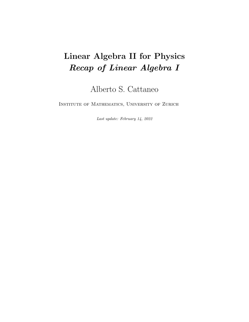# Linear Algebra II for Physics Recap of Linear Algebra I

Alberto S. Cattaneo

Institute of Mathematics, University of Zurich

Last update: February 14, 2022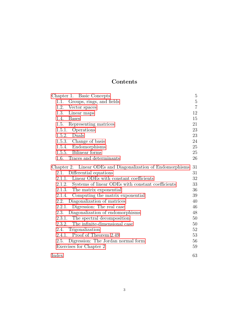## Contents

| Chapter 1. Basic Concepts                                   | $\overline{5}$ |
|-------------------------------------------------------------|----------------|
| 1.1. Groups, rings, and fields                              | $\overline{5}$ |
| 1.2.<br>Vector spaces                                       | $\overline{7}$ |
| 1.3.<br>Linear maps                                         | 12             |
| Bases<br>1.4.                                               | 15             |
| 1.5. Representing matrices                                  | 21             |
| 1.5.1. Operations                                           | 23             |
| 1.5.2. Duals                                                | 23             |
| 1.5.3. Change of basis                                      | 24             |
| 1.5.4. Endomorphisms                                        | 25             |
| 1.5.5. Bilinear forms                                       | 25             |
| 1.6. Traces and determinants                                | 26             |
| Chapter 2. Linear ODEs and Diagonalization of Endomorphisms | 31             |
| Differential equations<br>2.1.                              | 31             |
| 2.1.1. Linear ODEs with constant coefficients               | 32             |
| 2.1.2. Systems of linear ODEs with constant coefficients    | 33             |
| 2.1.3. The matrix exponential                               | 36             |
| Computing the matrix exponential<br>2.1.4.                  | 39             |
| 2.2. Diagonalization of matrices                            | 40             |
| Digression: The real case<br>2.2.1.                         | 46             |
| Diagonalization of endomorphisms<br>2.3.                    | 48             |
| 2.3.1. The spectral decomposition                           | 50             |
| The infinite-dimensional case<br>2.3.2.                     | 50             |
| 2.4. Trigonalization                                        | 52             |
| 2.4.1. Proof of Theorem 2.49                                | 53             |
| 2.5. Digression: The Jordan normal form                     | 56             |
| Exercises for Chapter 2                                     | 59             |
| Index                                                       | 63             |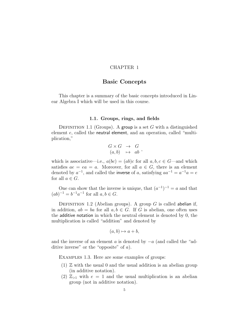### CHAPTER 1

### Basic Concepts

<span id="page-4-2"></span><span id="page-4-0"></span>This chapter is a summary of the basic concepts introduced in Linear Algebra I which will be used in this course.

### 1.1. Groups, rings, and fields

<span id="page-4-1"></span>DEFINITION 1.1 (Groups). A group is a set G with a distinguished element e, called the neutral element, and an operation, called "multiplication,"

$$
\begin{array}{rcl} G \times G & \to & G \\ (a, b) & \mapsto & ab \end{array},
$$

which is associative—i.e.,  $a(bc) = (ab)c$  for all  $a, b, c \in G$ —and which satisfies  $ae = ea = a$ . Moreover, for all  $a \in G$ , there is an element denoted by  $a^{-1}$ , and called the inverse of a, satisfying  $aa^{-1} = a^{-1}a = e$ for all  $a \in G$ .

One can show that the inverse is unique, that  $(a^{-1})^{-1} = a$  and that  $(ab)^{-1} = b^{-1}a^{-1}$  for all  $a, b \in G$ .

DEFINITION 1.2 (Abelian groups). A group  $G$  is called abelian if, in addition,  $ab = ba$  for all  $a, b \in G$ . If G is abelian, one often uses the additive notation in which the neutral element is denoted by 0, the multiplication is called "addition" and denoted by

$$
(a, b) \mapsto a + b,
$$

and the inverse of an element a is denoted by  $-a$  (and called the "additive inverse" or the "opposite" of a).

Examples 1.3. Here are some examples of groups:

- $(1)$  Z with the usual 0 and the usual addition is an abelian group (in additive notation).
- (2)  $\mathbb{Z}_{>1}$  with  $e = 1$  and the usual multiplication is an abelian group (not in additive notation).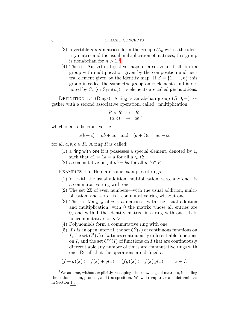### <span id="page-5-3"></span>6 1. BASIC CONCEPTS

- (3) Invertible  $n \times n$  matrices form the group  $GL_n$  with e the identity matrix and the usual multiplication of matrices; this group is nonabelian for  $n > 1$  $n > 1$ <sup>1</sup>
- (4) The set  $Aut(S)$  of bijective maps of a set S to itself form a group with multiplication given by the composition and neutral element given by the identity map. If  $S = \{1, \ldots, n\}$  this group is called the symmetric group on  $n$  elements and is denoted by  $S_n$  (or  $Sym(n)$ ); its elements are called permutations.

DEFINITION 1.4 (Rings). A ring is an abelian group  $(R, 0, +)$  together with a second associative operation, called "multiplication,"

$$
\begin{array}{rcl} R \times R & \to & R \\ (a, b) & \mapsto & ab \end{array},
$$

which is also distributive; i.e.,

$$
a(b+c) = ab + ac
$$
 and 
$$
(a+b)c = ac + bc
$$

for all  $a, b, c \in R$ . A ring R is called:

- (1) a ring with one if it possesses a special element, denoted by 1, such that  $a1 = 1a = a$  for all  $a \in R$ ;
- (2) a commutative ring if  $ab = ba$  for all  $a, b \in R$ .

<span id="page-5-1"></span>Examples 1.5. Here are some examples of rings:

- (1) Z—with the usual addition, multiplication, zero, and one—is a commutative ring with one.
- (2) The set  $2\mathbb{Z}$  of even numbers—with the usual addition, multiplication, and zero—is a commutative ring without one.
- (3) The set  $\text{Mat}_{n\times n}$  of  $n \times n$  matrices, with the usual addition and multiplication, with 0 the matrix whose all entries are 0, and with 1 the identity matrix, is a ring with one. It is noncommutative for  $n > 1$ .
- (4) Polynomials form a commutative ring with one.
- <span id="page-5-2"></span>(5) If I is an open interval, the set  $C^0(I)$  of continuous functions on I, the set  $C^k(I)$  of k times continuously differentiable functions on I, and the set  $C^{\infty}(I)$  of functions on I that are continuously differentiable any number of times are commutative rings with one. Recall that the operations are defined as

$$
(f+g)(x) := f(x) + g(x), \quad (fg)(x) := f(x) g(x), \qquad x \in I.
$$

<span id="page-5-0"></span><sup>&</sup>lt;sup>1</sup>We assume, without explicitly recapping, the knowledge of matrices, including the notion of sum, product, and transposition. We will recap trace and determinant in Section [1.6.](#page-25-0)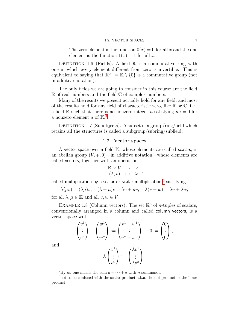<span id="page-6-3"></span>The zero element is the function  $0(x) = 0$  for all x and the one element is the function  $1(x) = 1$  for all x.

DEFINITION 1.6 (Fields). A field  $\mathbb K$  is a commutative ring with one in which every element different from zero is invertible. This is equivalent to saying that  $\mathbb{K}^{\times} := \mathbb{K} \setminus \{0\}$  is a commutative group (not in additive notation).

The only fields we are going to consider in this course are the field  $\mathbb R$  of real numbers and the field  $\mathbb C$  of complex numbers.

Many of the results we present actually hold for any field, and most of the results hold for any field of characteristic zero, like  $\mathbb R$  or  $\mathbb C$ , i.e., a field K such that there is no nonzero integer n satisfying  $na = 0$  for a nonzero element  $a$  of  $\mathbb{K}^2$  $\mathbb{K}^2$ .

DEFINITION 1.7 (Subobjects). A subset of a group/ring/field which retains all the structures is called a subgroup/subring/subfield.

### 1.2. Vector spaces

<span id="page-6-0"></span>A vector space over a field K, whose elements are called scalars, is an abelian group  $(V, +, 0)$ —in additive notation—whose elements are called vectors, together with an operation

$$
\begin{array}{rcl}\n\mathbb{K} \times V & \to & V \\
(\lambda, v) & \mapsto & \lambda v\n\end{array},
$$

called multiplication by a scalar or scalar multiplication, $3$  satisfying

$$
\lambda(\mu v) = (\lambda \mu)v, \quad (\lambda + \mu)v = \lambda v + \mu v, \quad \lambda(v + w) = \lambda v + \lambda w,
$$

for all  $\lambda, \mu \in \mathbb{K}$  and all  $v, w \in V$ .

and

EXAMPLE 1.8 (Column vectors). The set  $\mathbb{K}^n$  of *n*-tuples of scalars, conventionally arranged in a column and called column vectors, is a vector space with

$$
\begin{pmatrix} v^1 \\ \vdots \\ v^n \end{pmatrix} + \begin{pmatrix} w^1 \\ \vdots \\ w^n \end{pmatrix} := \begin{pmatrix} v^1 + w^1 \\ \vdots \\ v^n + w^n \end{pmatrix}, \quad 0 := \begin{pmatrix} 0 \\ \vdots \\ 0 \end{pmatrix},
$$

$$
\lambda \begin{pmatrix} v^1 \\ \vdots \\ v^n \end{pmatrix} := \begin{pmatrix} \lambda v^1 \\ \vdots \\ \lambda v^n \end{pmatrix}.
$$

<span id="page-6-2"></span><span id="page-6-1"></span><sup>&</sup>lt;sup>2</sup>By *na* one means the sum  $a + \cdots + a$  with *n* summands.

<sup>3</sup>not to be confused with the scalar product a.k.a. the dot product or the inner product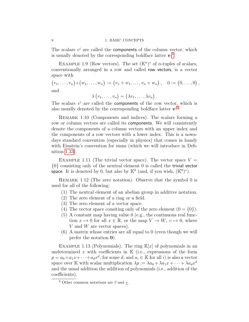The scalars  $v^i$  are called the components of the column vector, which is usually denoted by the corresponding boldface latter  $v^4$  $v^4$ .

EXAMPLE 1.9 (Row vectors). The set  $(\mathbb{K}^n)^*$  of *n*-tuples of scalars, conventionally arranged in a row and called row vectors, is a vector space with

 $(v_1, \ldots, v_n) + (w_1, \ldots, w_n) := (v_1 + w_1, \ldots, v_n + w_n), \quad 0 := (0, \ldots, 0),$ and

$$
\lambda(v_1,\ldots,v_n)=(\lambda v_1,\ldots,\lambda v_n).
$$

The scalars  $v^i$  are called the **components** of the row vector, which is also usually denoted by the corresponding boldface latter  $v^4$  $v^4$ .

REMARK 1.10 (Components and indices). The scalars forming a row or column vectors are called its components. We will consistently denote the components of a column vectors with an upper index and the components of a row vectors with a lower index. This is a nowadays standard convention (especially in physics) that comes in handy with Einstein's convention for sums (which we will introduce in Definition [1.33\)](#page-13-0).

EXAMPLE 1.11 (The trivial vector space). The vector space  $V =$ {0} consisting only of the neutral element 0 is called the trivial vector space. It is denoted by 0, but also by  $\mathbb{K}^0$  (and, if you wish,  $(\mathbb{K}^0)^*$ ).

REMARK 1.12 (The zero notation). Observe that the symbol 0 is used for all of the following:

- (1) The neutral element of an abelian group in additive notation.
- (2) The zero element of a ring or a field.
- (3) The zero element of a vector space.
- (4) The vector space consiting only of the zero element  $(0 = \{0\})$ .
- (5) A constant map having value 0 (e.g., the continuous real function  $x \mapsto 0$  for all  $x \in \mathbb{R}$ , or the map  $V \to W$ ,  $v \mapsto 0$ , where  $V$  and  $W$  are vector spaces).
- (6) A matrix whose entries are all equal to 0 (even though we will prefer the notation 0).

EXAMPLE 1.13 (Polynomials). The ring  $\mathbb{K}[x]$  of polynomials in an undetermined x with coefficients in  $K$  (i.e., expressions of the form  $p = a_0 + a_1 x + \cdots + a_d x^d$ , for some d, and  $a_i \in \mathbb{K}$  for all i) is also a vector space over K with scalar multiplication  $\lambda p := \lambda a_0 + \lambda a_1 x + \cdots + \lambda a_d x^d$ and the usual addition the addition of polynomials (i.e., addition of the coefficients).

<span id="page-7-1"></span>

<span id="page-7-0"></span><sup>&</sup>lt;sup>4</sup> Other common notations are  $\vec{v}$  and v.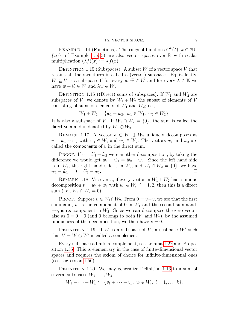<span id="page-8-2"></span>EXAMPLE 1.14 (Functions). The rings of functions  $C^k(I)$ ,  $k \in \mathbb{N} \cup$  $\{\infty\}$ , of Example [1.5.](#page-5-1)[\(5\)](#page-5-2) are also vector spaces over R with scalar multiplication  $(\lambda f)(x) := \lambda f(x)$ .

DEFINITION 1.15 (Subspaces). A subset W of a vector space V that retains all the structures is called a (vector) subspace. Equivalently,  $W \subseteq V$  is a subspace iff for every  $w, \widetilde{w} \in W$  and for every  $\lambda \in \mathbb{K}$  we have  $w + \widetilde{w} \in W$  and  $\lambda w \in W$ .

<span id="page-8-0"></span>DEFINITION 1.16 ((Direct) sums of subspaces). If  $W_1$  and  $W_2$  are subspaces of V, we denote by  $W_1 + W_2$  the subset of elements of V consisting of sums of elements of  $W_1$  and  $W_2$ ; i.e.,

$$
W_1 + W_2 = \{w_1 + w_2, w_1 \in W_1, w_2 \in W_2\}.
$$

It is also a subspace of V. If  $W_1 \cap W_2 = \{0\}$ , the sum is called the direct sum and is denoted by  $W_1 \oplus W_2$ .

REMARK 1.17. A vector  $v \in W_1 \oplus W_2$  uniquely decomposes as  $v = w_1 + w_2$  with  $w_1 \in W_1$  and  $w_2 \in W_2$ . The vectors  $w_1$  and  $w_2$  are called the **components** of  $v$  in the direct sum.

PROOF. If  $v = \tilde{w}_1 + \tilde{w}_2$  were another decomposition, by taking the difference we would get  $w_1 - \widetilde{w}_1 = \widetilde{w}_2 - w_2$ . Since the left hand side is in  $W_1$ , the right hand side is in  $W_2$ , and  $W_1 \cap W_2 = \{0\}$ , we have  $w_1 - \widetilde{w}_1 = 0 = \widetilde{w}_2 - w_2.$ 

<span id="page-8-1"></span>REMARK 1.18. Vice versa, if every vector in  $W_1 + W_2$  has a unique decomposition  $v = w_1 + w_2$  with  $w_i \in W_i$ ,  $i = 1, 2$ , then this is a direct sum (i.e.,  $W_1 \cap W_2 = 0$ ).

PROOF. Suppose  $v \in W_1 \cap W_2$ . From  $0 = v - v$ , we see that the first summand,  $v$ , is the component of 0 in  $W_1$  and the second summand,  $-v$ , is its component in  $W_2$ . Since we can decompose the zero vector also as  $0 = 0 + 0$  (and 0 belongs to both  $W_1$  and  $W_2$ ), by the assumed uniqueness of the decomposition, we then have  $v = 0$ .

DEFINITION 1.19. If W is a subspace of V, a susbpace  $W'$  such that  $V = W \oplus W'$  is called a complement.

Every subspace admits a complement, see Lemma [1.27](#page-10-0) and Proposition [1.55.](#page-18-0) This is elementary in the case of finite-dimensional vector spaces and requires the axiom of choice for infinite-dimensional ones (see Digression [1.56\)](#page-18-1).

DEFINITION 1.20. We may generalize Definition [1.16](#page-8-0) to a sum of several subspaces  $W_1, \ldots, W_k$ :

$$
W_1 + \cdots + W_k := \{v_1 + \cdots + v_k, \ v_i \in W_i, \ i = 1, \ldots, k\}.
$$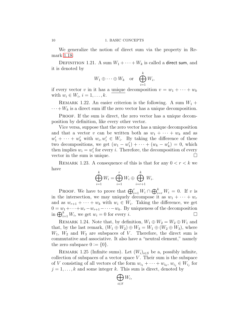We generalize the notion of direct sum via the property in Remark [1.18:](#page-8-1)

<span id="page-9-0"></span>DEFINITION 1.21. A sum  $W_1 + \cdots + W_k$  is called a direct sum, and it is denoted by

$$
W_1 \oplus \cdots \oplus W_k
$$
 or  $\bigoplus_{i=1}^k W_i$ ,

if every vector v in it has a unique decomposition  $v = w_1 + \cdots + w_k$ with  $w_i \in W_i$ ,  $i = 1, \ldots, k$ .

<span id="page-9-1"></span>REMARK 1.22. An easier criterion is the following. A sum  $W_1$  +  $\cdots + W_k$  is a direct sum iff the zero vector has a unique decomposition.

PROOF. If the sum is direct, the zero vector has a unique decomposition by definition, like every other vector.

Vice versa, suppose that the zero vector has a unique decomposition and that a vector v can be written both as  $w_1 + \cdots + w_k$  and as  $w'_1 + \cdots + w'_k$  with  $w_i, w'_i \in W_i$ . By taking the difference of these two decompositions, we get  $(w_1 - w'_1) + \cdots + (w_k - w'_k) = 0$ , which then implies  $w_i = w'_i$  for every *i*. Therefore, the decomposition of every vector in the sum is unique.

REMARK 1.23. A consequence of this is that for any  $0 < r < k$  we have

$$
\bigoplus_{i=1}^k W_i = \bigoplus_{i=1}^r W_i \oplus \bigoplus_{i=r+1}^k W_i.
$$

PROOF. We have to prove that  $\bigoplus_{i=1}^r W_i \cap \bigoplus_{i=r}^k W_i = 0$ . If v is in the intersection, we may uniquely decompose it as  $w_1 + \cdots + w_r$ and as  $w_{r+1} + \cdots + w_k$  with  $w_i \in W_i$ . Taking the difference, we get  $0 = w_1 + \cdots + w_r - w_{r+1} - \cdots - w_k$ . By uniqueness of the decomposition in  $\bigoplus_{i=1}^k W_i$ , we get  $w_i = 0$  for every i.

REMARK 1.24. Note that, by definition,  $W_1 \oplus W_2 = W_2 \oplus W_1$  and that, by the last remark,  $(W_1 \oplus W_2) \oplus W_3 = W_1 \oplus (W_2 \oplus W_3)$ , where  $W_1$ ,  $W_2$  and  $W_3$  are subspaces of V. Therefore, the direct sum is commutative and associative. It also have a "neutral element," namely the zero subspace  $0 := \{0\}.$ 

REMARK 1.25 (Infinite sums). Let  $(W_i)_{i \in S}$  be a, possibly infinite, collection of subspaces of a vector space  $V$ . Their sum is the subspace of V consisting of all vectors of the form  $w_{i_1} + \cdots + w_{i_k}$ ,  $w_{i_j} \in W_{i_j}$  for  $j = 1, \ldots, k$  and some integer k. This sum is direct, denoted by

> $\bigoplus$ i∈S  $W_i,$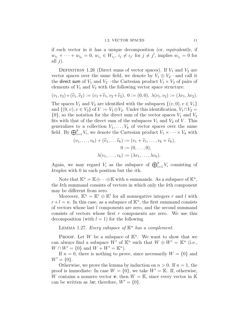### 1.2. VECTOR SPACES 11

<span id="page-10-2"></span>if each vector in it has a unique decomposition (or, equivalently, if  $w_{i_1} + \cdots + w_{i_k} = 0$ ,  $w_{i_j} \in W_{i_j}$ ,  $i_j \neq i_{j'}$  for  $j \neq j'$ , implies  $w_{i_j} = 0$  for all  $j$ ).

<span id="page-10-1"></span>DEFINITION 1.26 (Direct sums of vector spaces). If  $V_1$  and  $V_2$  are vector spaces over the same field, we denote by  $V_1 \oplus V_2$ —and call it the direct sum of  $V_1$  and  $V_2$ —the Cartesian product  $V_1 \times V_2$  of pairs of elements of  $V_1$  and  $V_2$  with the following vector space structure:

$$
(v_1, v_2) + (\widetilde{v}_1, \widetilde{v}_2) := (v_1 + \widetilde{v}_1, v_2 + \widetilde{v}_2), 0 := (0, 0), \lambda(v_1, v_2) := (\lambda v_1, \lambda v_2).
$$

The spaces  $V_1$  and  $V_2$  are identified with the subspaces  $\{(v, 0), v \in V_1\}$ and  $\{(0, v), v \in V_2\}$  of  $V := V_1 \oplus V_2$ . Under this identification,  $V_1 \cap V_2 =$  $\{0\}$ , so the notation for the direct sum of the vector spaces  $V_1$  and  $V_2$ fits with that of the direct sum of the subspaces  $V_1$  and  $V_2$  of V. This generalizes to a collection  $V_1, \ldots, V_k$  of vector spaces over the same field. By  $\bigoplus_{i=1}^k V_i$ , we denote the Cartesian product  $V_1 \times \cdots \times V_k$  with

$$
(v_1, \ldots, v_k) + (\widetilde{v}_1, \ldots, \widetilde{v}_k) := (v_1 + \widetilde{v}_1, \ldots, v_k + \widetilde{v}_k),
$$
  

$$
0 := (0, \ldots, 0),
$$
  

$$
\lambda(v_1, \ldots, v_k) := (\lambda v_1, \ldots, \lambda v_k).
$$

Again, we may regard  $V_i$  as the subspace of  $\bigoplus_{i=1}^k V_i$  consisting of ktuples with 0 in each position but the ith.

Note that  $\mathbb{K}^n = \mathbb{K} \oplus \cdots \oplus \mathbb{K}$  with n summands. As a subspace of  $\mathbb{K}^n$ , the kth summand consists of vectors in which only the kth component may be different from zero.

Moreover,  $\mathbb{K}^n = \mathbb{K}^r \oplus \mathbb{K}^l$  for all nonnegative integers r and l with  $r + l = n$ . In this case, as a subspace of  $\mathbb{K}^n$ , the first summand consists of vectors whose last l components are zero, and the second summand consists of vectors whose first r components are zero. We use this decomposition (with  $l = 1$ ) for the following

<span id="page-10-0"></span>LEMMA 1.27. Every subspace of  $K^n$  has a complement.

PROOF. Let W be a subspace of  $\mathbb{K}^n$ . We want to show that we can always find a subspace  $W'$  of  $\mathbb{K}^n$  such that  $W \oplus W' = \mathbb{K}^n$  (i.e.,  $W \cap W' = \{0\}$  and  $W + W' = \mathbb{K}^n$ .

If  $n = 0$ , there is nothing to prove, since necessarily  $W = \{0\}$  and  $W' = \{0\}.$ 

Otherwise, we prove the lemma by induction on  $n > 0$ . If  $n = 1$ , the proof is immediate: In case  $W = \{0\}$ , we take  $W' = \mathbb{K}$ . If, otherwise, W contains a nonzero vector  $v$ , then  $W = \mathbb{K}$ , since every vector in  $\mathbb{K}$ can be written as  $\lambda v$ ; therefore,  $W' = \{0\}.$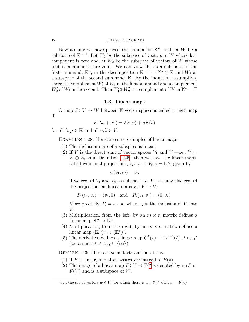### <span id="page-11-4"></span>12 1. BASIC CONCEPTS

Now assume we have proved the lemma for  $\mathbb{K}^n$ , and let W be a subspace of  $\mathbb{K}^{n+1}$ . Let  $W_1$  be the subspace of vectors in W whose last component is zero and let  $W_2$  be the subspace of vectors of W whose first *n* components are zero. We can view  $W_1$  as a subspace of the first summand,  $\mathbb{K}^n$ , in the decomposition  $\mathbb{K}^{n+1} = \mathbb{K}^n \oplus \mathbb{K}$  and  $W_2$  as a subspace of the second summand, K. By the induction assumption, there is a complement  $W'_1$  of  $W_1$  in the first summand and a complement  $W_2'$  of  $W_2$  in the second. Then  $W_1' \oplus W_2'$  is a complement of W in  $\mathbb{K}^n$ .  $\Box$ 

### 1.3. Linear maps

<span id="page-11-0"></span>A map  $F: V \to W$  between K-vector spaces is called a linear map if

$$
F(\lambda v + \mu \tilde{v}) = \lambda F(v) + \mu F(\tilde{v})
$$

<span id="page-11-2"></span>for all  $\lambda, \mu \in \mathbb{K}$  and all  $v, \tilde{v} \in V$ .

Examples 1.28. Here are some examples of linear maps:

- (1) The inclusion map of a subspace is linear.
- <span id="page-11-3"></span>(2) If V is the direct sum of vector spaces  $V_1$  and  $V_2$ —i.e.,  $V =$  $V_1 \oplus V_2$  as in Definition [1.26—](#page-10-1)then we have the linear maps, called canonical projections,  $\pi_i: V \to V_i$ ,  $i = 1, 2$ , given by

$$
\pi_i(v_1, v_2) = v_i.
$$

If we regard  $V_1$  and  $V_2$  as subspaces of V, we may also regard the projections as linear maps  $P_i: V \to V$ :

 $P_1(v_1, v_2) = (v_1, 0)$  and  $P_2(v_1, v_2) = (0, v_2)$ .

More precisely,  $P_i = \iota_i \circ \pi_i$  where  $\iota_i$  is the inclusion of  $V_i$  into V .

- (3) Multiplication, from the left, by an  $m \times n$  matrix defines a linear map  $\mathbb{K}^n \to \mathbb{K}^m$ .
- (4) Multiplication, from the right, by an  $m \times n$  matrix defines a linear map  $(\mathbb{K}^m)^* \to (\mathbb{K}^n)^*.$
- (5) The derivative defines a linear map  $C^k(I) \to C^{k-1}(I)$ ,  $f \mapsto f'$ (we assume  $k \in \mathbb{N}_{>0} \cup \{\infty\}$ ).

REMARK 1.29. Here are some facts and notations.

- (1) If F is linear, one often writes  $Fv$  instead of  $F(v)$ .
- (2) The image of a linear map  $F: V \to W^5$  $F: V \to W^5$  is denoted by im F or  $F(V)$  and is a subspace of W.

<span id="page-11-1"></span><sup>&</sup>lt;sup>5</sup>i.e., the set of vectors  $w \in W$  for which there is a  $v \in V$  with  $w = F(v)$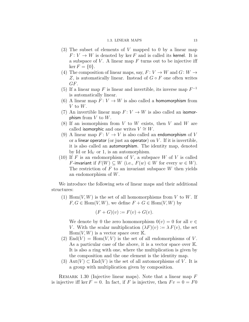### 1.3. LINEAR MAPS 13

- <span id="page-12-1"></span>(3) The subset of elements of V mapped to 0 by a linear map  $F: V \to W$  is denoted by ker F and is called its kernel. It is a subspace of  $V$ . A linear map  $F$  turns out to be injective iff  $\ker F = \{0\}.$
- (4) The composition of linear maps, say,  $F: V \to W$  and  $G: W \to$ Z, is automatically linear. Instead of  $G \circ F$  one often writes GF.
- (5) If a linear map  $F$  is linear and invertible, its inverse map  $F^{-1}$ is automatically linear.
- (6) A linear map  $F: V \to W$  is also called a homomorphism from V to  $W$ .
- (7) An invertible linear map  $F: V \to W$  is also called an isomorphism from  $V$  to  $W$ .
- $(8)$  If an isomorphism from V to W exists, then V and W are called isomorphic and one writes  $V \cong W$ .
- (9) A linear map  $F: V \to V$  is also called an endomorphism of V or a linear operator (or just an operator) on  $V$ . If it is invertible, it is also called an automorphism. The identity map, denoted by Id or  $Id_V$  or 1, is an automorphism.
- (10) If F is an endomorphism of V, a subspace W of V is called F-invariant if  $F(W) \subseteq W$  (i.e.,  $F(w) \in W$  for every  $w \in W$ ). The restriction of  $F$  to an invariant subspace  $W$  then yields an endomorphism of W.

We introduce the following sets of linear maps and their additional structures:

(1) Hom $(V, W)$  is the set of all homomorphisms from V to W. If  $F, G \in \text{Hom}(V, W)$ , we define  $F + G \in \text{Hom}(V, W)$  by

$$
(F+G)(v) := F(v) + G(v).
$$

We denote by 0 the zero homomorphism  $0(v) = 0$  for all  $v \in$ V. With the scalar multiplication  $(\lambda F)(v) := \lambda F(v)$ , the set  $Hom(V, W)$  is a vector space over K.

- (2)  $\text{End}(V) = \text{Hom}(V, V)$  is the set of all endomorphisms of V. As a particular case of the above, it is a vector space over  $\mathbb{K}$ . It is also a ring with one, where the multiplication is given by the composition and the one element is the identity map.
- (3) Aut $(V) \subset End(V)$  is the set of all automorphisms of V. It is a group with multiplication given by composition.

<span id="page-12-0"></span>REMARK 1.30 (Injective linear maps). Note that a linear map  $F$ is injective iff ker  $F = 0$ . In fact, if F is injective, then  $Fv = 0 = F0$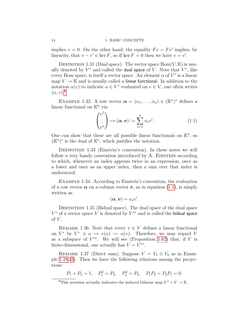implies  $v = 0$ . On the other hand, the equality  $Fv = Fv'$  implies, by linearity, that  $v - v' \in \ker F$ , so if  $\ker F = 0$  then we have  $v = v'$ .

DEFINITION 1.31 (Dual space). The vector space  $\text{Hom}(V, \mathbb{K})$  is usually denoted by  $V^*$  and called the dual space of V. Note that  $V^*$ , like every Hom space, is itself a vector space. An element  $\alpha$  of  $V^*$  is a linear map  $V \to \mathbb{K}$  and is usually called a linear functional. In addition to the notation  $\alpha(v)$  to indicate  $\alpha \in V^*$  evaluated on  $v \in V$ , one often writes  $(\alpha, v)$ <sup>[6](#page-13-1)</sup>

EXAMPLE 1.32. A row vector  $\boldsymbol{\alpha} = (\alpha_1, \dots, \alpha_n) \in (\mathbb{K}^n)^*$  defines a linear functional on  $\mathbb{K}^n$  via

<span id="page-13-2"></span>
$$
\begin{pmatrix} v^1 \\ \vdots \\ v^n \end{pmatrix} \mapsto (\boldsymbol{\alpha}, \boldsymbol{v}) := \sum_{i=1}^n \alpha_i v^i.
$$
 (1.1)

One can show that these are all possible linear functionals on  $\mathbb{K}^n$ , so  $(\mathbb{K}^n)^*$  is the dual of  $\mathbb{K}^n$ , which justifies the notation.

<span id="page-13-0"></span>DEFINITION 1.33 (Einstein's convention). In these notes we will follow a very handy convention introduced by A. EINSTEIN according to which, whenever an index appears twice in an expression, once as a lower and once as an upper index, then a sum over that index is understood.

Example 1.34. According to Einstein's convention, the evaluation of a row vector  $\alpha$  on a column vector  $v$ , as in equation [\(1.1\)](#page-13-2), is simply written as

$$
(\boldsymbol{\alpha},\boldsymbol{v})=\alpha_iv^i.
$$

DEFINITION 1.35 (Bidual space). The dual space of the dual space  $V^*$  of a vector space V is denoted by  $V^{**}$  and is called the bidual space of  $V$ .

<span id="page-13-3"></span>REMARK 1.36. Note that every  $v \in V$  defines a linear functional on  $V^*$  by  $V^* \ni \alpha \mapsto v(\alpha) := \alpha(v)$ . Therefore, we may regard V as a subspace of  $V^{**}$ . We will see (Proposition [1.62\)](#page-20-1) that, if V is finite-dimensional, one actually has  $V = V^{**}$ .

REMARK 1.37 (Direct sum). Suppose  $V = V_1 \oplus V_2$  as in Example [1.28.](#page-11-2)[\(2\)](#page-11-3). Then we have the following relations among the projections:

$$
P_1 + P_2 = 1
$$
,  $P_1^2 = P_2$ ,  $P_2^2 = P_2$ ,  $P_1 P_2 = P_2 P_1 = 0$ .

<span id="page-13-4"></span>

<span id="page-13-1"></span><sup>&</sup>lt;sup>6</sup>This notation actually indicates the induced bilinear map  $V^* \times V \to \mathbb{K}$ .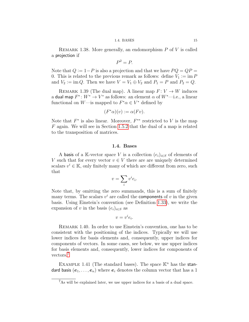### 1.4. BASES 15

<span id="page-14-3"></span>REMARK 1.38. More generally, an endomorphism  $P$  of  $V$  is called a projection if

$$
P^2 = P.
$$

Note that  $Q := 1 - P$  is also a projection and that we have  $PQ = QP =$ 0. This is related to the previous remark as follows: define  $V_1 \coloneqq \text{im } P$ and  $V_2 := \text{im } Q$ . Then we have  $V = V_1 \oplus V_2$  and  $P_1 = P$  and  $P_2 = Q$ .

<span id="page-14-2"></span>REMARK 1.39 (The dual map). A linear map  $F: V \to W$  induces a dual map  $F^*: W^* \to V^*$  as follows: an element  $\alpha$  of  $W^*$ —i.e., a linear functional on W—is mapped to  $F^*\alpha \in V^*$  defined by

$$
(F^*\alpha)(v) := \alpha(Fv).
$$

Note that  $F^*$  is also linear. Moreover,  $F^{**}$  restricted to V is the map F again. We will see in Section [1.5.2](#page-22-1) that the dual of a map is related to the transposition of matrices.

### 1.4. Bases

<span id="page-14-0"></span>A basis of a K-vector space V is a collection  $(e_i)_{i \in S}$  of elements of V such that for every vector  $v \in V$  there are are uniquely determined scalars  $v^i \in \mathbb{K}$ , only finitely many of which are different from zero, such that

$$
v = \sum_i v^i e_i.
$$

Note that, by omitting the zero summands, this is a sum of finitely many terms. The scalars  $v^i$  are called the **components** of v in the given basis. Using Einstein's convention (see Definition [1.33\)](#page-13-0), we write the expansion of v in the basis  $(e_i)_{i \in S}$  as

$$
v = v^i e_i.
$$

Remark 1.40. In order to use Einstein's convention, one has to be consistent with the positioning of the indices. Typically we will use lower indices for basis elements and, consequently, upper indices for components of vectors. In some cases, see below, we use upper indices for basis elements and, consequently, lower indices for components of vectors.[7](#page-14-1)

EXAMPLE 1.41 (The standard bases). The space  $\mathbb{K}^n$  has the standard basis  $(e_1, \ldots, e_n)$  where  $e_i$  denotes the column vector that has a 1

<span id="page-14-1"></span><sup>7</sup>As will be explained later, we use upper indices for a basis of a dual space.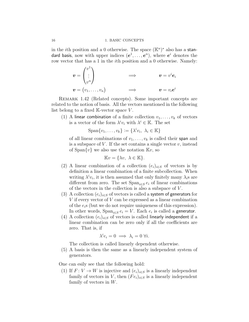<span id="page-15-0"></span>in the *i*th position and a 0 otherwise. The space  $(\mathbb{K}^n)^*$  also has a standard basis, now with upper indices  $(e^1, \ldots, e^n)$ , where  $e^i$  denotes the row vector that has a 1 in the ith position and a 0 otherwise. Namely:

$$
\mathbf{v} = \begin{pmatrix} v^1 \\ \vdots \\ v^n \end{pmatrix} \qquad \qquad \Longrightarrow \qquad \mathbf{v} = v^i \mathbf{e}_i
$$

$$
\mathbf{v} = (v_1, \dots, v_n) \qquad \qquad \Longrightarrow \qquad \mathbf{v} = v_i \mathbf{e}^i
$$

Remark 1.42 (Related concepts). Some important concepts are related to the notion of basis. All the vectors mentioned in the following list belong to a fixed  $\mathbb{K}\text{-vector space } V$ .

(1) A linear combination of a finite collection  $v_1, \ldots, v_k$  of vectors is a vector of the form  $\lambda^i v_i$  with  $\lambda^i \in \mathbb{K}$ . The set

$$
\mathrm{Span}\{v_1,\ldots,v_k\} := \{\lambda^i v_i, \ \lambda_i \in \mathbb{K}\}\
$$

of all linear combinations of  $v_1, \ldots, v_k$  is called their span and is a subspace of  $V$ . If the set contains a single vector  $v$ , instead of  $\text{Span}\{v\}$  we also use the notation  $\mathbb{K}v$ , so

$$
\mathbb{K}v = \{\lambda v, \lambda \in \mathbb{K}\}.
$$

- (2) A linear combination of a collection  $(e_i)_{i\in S}$  of vectors is by definition a linear combination of a finite subcollection. When writing  $\lambda^i v_i$ , it is then assumed that only finitely many  $\lambda_i$ s are different from zero. The set  $\text{Span}_{i \in S} e_i$  of linear combinations of the vectors in the collection is also a subspace of V .
- (3) A collection  $(e_i)_{i\in S}$  of vectors is called a system of generators for  $V$  if every vector of  $V$  can be expressed as a linear combination of the  $e_i$ s (but we do not require uniqueness of this expression). In other words,  $\text{Span}_{i \in S} e_i = V$ . Each  $e_i$  is called a generator.
- (4) A collection  $(e_i)_{i\in S}$  of vectors is called linearly independent if a linear combination can be zero only if all the coefficients are zero. That is, if

$$
\lambda^i e_i = 0 \implies \lambda_i = 0 \,\,\forall i.
$$

The collection is called linearly dependent otherwise.

(5) A basis is then the same as a linearly independent system of generators.

One can esily see that the following hold:

(1) If  $F: V \to W$  is injective and  $(e_i)_{i \in S}$  is a linearly independent family of vectors in V, then  $(Fe_i)_{i \in S}$  is a linearly independent family of vectors in W.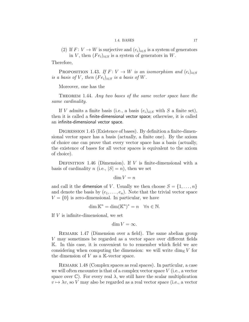### 1.4. BASES 17

<span id="page-16-0"></span>(2) If  $F: V \to W$  is surjective and  $(e_i)_{i \in S}$  is a system of generators in V, then  $(Fe_i)_{i \in S}$  is a system of generators in W.

Therefore,

PROPOSITION 1.43. If  $F: V \to W$  is an isomorphism and  $(e_i)_{i \in S}$ is a basis of V, then  $(Fe_i)_{i \in S}$  is a basis of W.

Moreover, one has the

THEOREM 1.44. Any two bases of the same vector space have the same cardinality.

If V admits a finite basis (i.e., a basis  $(e_i)_{i \in S}$  with S a finite set), then it is called a finite-dimensional vector space; otherwise, it is called an infinite-dimensional vector space.

DIGRESSION 1.45 (Existence of bases). By definition a finite-dimensional vector space has a basis (actually, a finite one). By the axiom of choice one can prove that every vector space has a basis (actually, the existence of bases for all vector spaces is equivalent to the axiom of choice).

DEFINITION 1.46 (Dimension). If  $V$  is finite-dimensional with a basis of cardinality n (i.e.,  $|S| = n$ ), then we set

 $\dim V = n$ 

and call it the dimension of V. Usually we then choose  $S = \{1, \ldots, n\}$ and denote the basis by  $(e_1, \ldots, e_n)$ . Note that the trivial vector space  $V = \{0\}$  is zero-dimensional. In particular, we have

$$
\dim \mathbb{K}^n = \dim(\mathbb{K}^n)^* = n \quad \forall n \in \mathbb{N}.
$$

If V is infinite-dimensional, we set

 $\dim V = \infty$ .

REMARK 1.47 (Dimension over a field). The same abelian group V may sometimes be regarded as a vector space over different fields K. In this case, it is convenient to to remember which field we are considering when computing the dimension: we will write  $\dim_{\mathbb{K}} V$  for the dimension of  $V$  as a K-vector space.

Remark 1.48 (Complex spaces as real spaces). In particular, a case we will often encounter is that of a complex vector space  $V$  (i.e., a vector space over  $\mathbb{C}$ ). For every real  $\lambda$ , we still have the scalar multiplication  $v \mapsto \lambda v$ , so V may also be regarded as a real vector space (i.e., a vector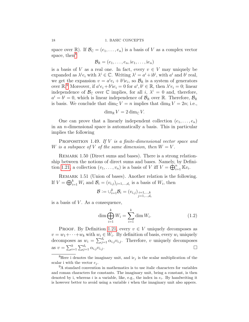### 18 1. BASIC CONCEPTS

space over  $\mathbb{R}$ ). If  $\mathcal{B}_{\mathbb{C}} = (e_1, \ldots, e_n)$  is a basis of V as a complex vector space, then $8$ 

$$
\mathcal{B}_{\mathbb{R}} = (e_1, \ldots, e_n, ie_1, \ldots, ie_n)
$$

is a basis of V as a real one. In fact, every  $v \in V$  may uniquely be expanded as  $\lambda^i e_i$  with  $\lambda^i \in \mathbb{C}$ . Writing  $\lambda^i = a^i + ib^i$ , with  $a^i$  and  $b^i$  real, we get the expansion  $v = a^i e_i + b^i i e_i$ , so  $\mathcal{B}_{\mathbb{R}}$  is a system of generators over  $\mathbb{R}^9$  $\mathbb{R}^9$  Moreover, if  $a^i e_i + b^i i e_i = 0$  for  $a^i, b^i \in \mathbb{R}$ , then  $\lambda^i e_i = 0$ ; linear independence of  $\mathcal{B}_{\mathbb{C}}$  over  $\mathbb{C}$  implies, for all i,  $\lambda^{i} = 0$  and, therefore,  $a^i = b^i = 0$ , which is linear independence of  $\mathcal{B}_{\mathbb{R}}$  over  $\mathbb{R}$ . Therefore,  $\mathcal{B}_{\mathbb{R}}$ is basis. We conclude that dim<sub>C</sub>  $V = n$  implies that dim<sub>R</sub>  $V = 2n$ ; i.e.,

$$
\dim_{\mathbb{R}} V = 2 \dim_{\mathbb{C}} V.
$$

One can prove that a linearly independent collection  $(e_1, \ldots, e_n)$ in an n-dimensional space is automatically a basis. This in particular implies the following

<span id="page-17-2"></span>PROPOSITION 1.49. If V is a finite-dimensional vector space and W is a subspace of V of the same dimension, then  $W = V$ .

REMARK 1.50 (Direct sums and bases). There is a strong relationship between the notions of direct sums and bases. Namely, by Defini-tion [1.21,](#page-9-0) a collection  $(v_1, \ldots, v_n)$  is a basis of V iff  $V = \bigoplus_{i=1}^n \mathbb{K}v_i$ .

<span id="page-17-4"></span>REMARK 1.51 (Union of bases). Another relation is the following. If  $V = \bigoplus_{i=1}^k W_i$  and  $\mathcal{B}_i = (v_{i,j})_{j=1,\dots,d_i}$  is a basis of  $W_i$ , then

$$
\mathcal{B} := \cup_{i=1}^k \mathcal{B}_i = (v_{i,j})_{\substack{i=1,\ldots,k \\ j=1,\ldots,d_i}}
$$

is a basis of  $V$ . As a consequence,

<span id="page-17-3"></span>
$$
\dim \bigoplus_{i=1}^{k} W_i = \sum_{i=1}^{k} \dim W_i.
$$
\n(1.2)

PROOF. By Definition [1.21,](#page-9-0) every  $v \in V$  uniquely decomposes as  $v = w_1 + \cdots + w_k$  with  $w_i \in W_i$ . By definition of basis, every  $w_i$  uniquely decomposes as  $w_i = \sum_{j=1}^{d_i} \alpha_{i,j} v_{i,j}$ . Therefore, v uniquely decomposes as  $v = \sum_{i=1}^{k} \sum_{j=1}^{d_i} \alpha_{i,j} v_{i,j}$ .

<span id="page-17-0"></span> ${}^{8}$  Here i denotes the imaginary unit, and  ${\rm i}e_{j}$  is the scalar multiplication of the scalar i with the vector  $e_i$ .

<span id="page-17-1"></span><sup>9</sup>A standard convention in mathematics is to use italic characters for variables and roman characters for constants. The imaginary unit, being a constant, is then denoted by i, whereas  $i$  is a variable, like, e.g., the index in  $e_i$ . By handwriting it is however better to avoid using a variable  $i$  when the imaginary unit also appers.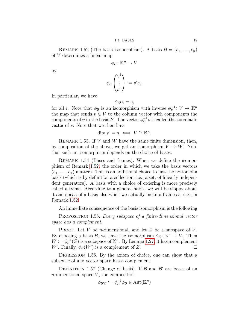1.4. BASES 19

<span id="page-18-5"></span><span id="page-18-2"></span>REMARK 1.52 (The basis isomorphism). A basis  $\mathcal{B} = (e_1, \ldots, e_n)$ of V determines a linear map

$$
\phi_{\mathcal{B}}\colon\mathbb{K}^n\to V
$$

by

$$
\phi_{\mathcal{B}}\begin{pmatrix}v^1\\ \vdots\\ v^n\end{pmatrix}:=v^ie_i.
$$

In particular, we have

$$
\phi_{\mathcal{B}}\mathbf{e}_i=e_i
$$

for all *i*. Note that  $\phi_B$  is an isomorphism with inverse  $\phi_B^{-1}$  $\overline{\mathcal{B}}^{1}: V \to \mathbb{K}^{n}$ the map that sends  $v \in V$  to the column vector with components the components of v in the basis  $\mathcal{B}$ . The vector  $\phi_{\mathcal{B}}^{-1}$  $_{\mathcal{B}}^{-1}v$  is called the **coordinate** vector of  $v$ . Note that we then have

$$
\dim V = n \iff V \cong \mathbb{K}^n.
$$

<span id="page-18-3"></span>REMARK 1.53. If  $V$  and  $W$  have the same finite dimension, then, by composition of the above, we get an isomorphism  $V \to W$ . Note that such an isomorphism depends on the choice of bases.

REMARK 1.54 (Bases and frames). When we define the isomorphism of Remark [1.52,](#page-18-2) the order in which we take the basis vectors  $(e_1, \ldots, e_n)$  matters. This is an additional choice to just the notion of a basis (which is by definition a collection, i.e., a set, of linearly independent generators). A basis with a choice of ordering is more precisely called a frame. According to a general habit, we will be sloppy about it and speak of a basis also when we actually mean a frame as, e.g., in Remark [1.52.](#page-18-2)

An immediate consequence of the basis isomorphism is the following

<span id="page-18-0"></span>PROPOSITION 1.55. Every subspace of a finite-dimensional vector space has a complement.

**PROOF.** Let V be *n*-dimensional, and let Z be a subspace of V. By choosing a basis  $\mathcal{B}$ , we have the isomorphism  $\phi_{\mathcal{B}} : \mathbb{K}^n \to V$ . Then  $W \mathrel{\mathop:}= \phi_{\mathcal{B}}^{-1}$  $_{\mathcal{B}}^{-1}(\mathcal{Z})$  is a subspace of  $\mathbb{K}^n$ . By Lemma [1.27,](#page-10-0) it has a complement W'. Finally,  $\phi_B(W')$  is a complement of Z.

<span id="page-18-1"></span>DIGRESSION 1.56. By the axiom of choice, one can show that a subspace of any vector space has a complement.

<span id="page-18-4"></span>DEFINITION 1.57 (Change of basis). If  $\beta$  and  $\beta'$  are bases of an  $n$ -dimensional space  $V$ , the composition

$$
\phi_{\mathcal{B}'\mathcal{B}} := \phi_{\mathcal{B}'}^{-1} \phi_{\mathcal{B}} \in \mathrm{Aut}(\mathbb{K}^n)
$$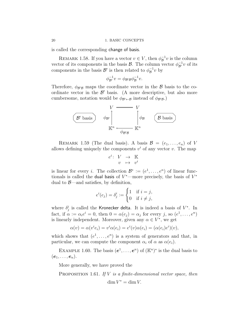is called the corresponding change of basis.

REMARK 1.58. If you have a vector  $v \in V$ , then  $\phi_{\mathcal{B}}^{-1}$  $\overline{\mathcal{B}}^{\perp}v$  is the column vector of its components in the basis  $\mathcal{B}$ . The column vector  $\phi_{\mathcal{B}'}^{-1}v$  of its components in the basis  $\mathcal{B}'$  is then related to  $\phi^{-1}_{\mathcal{B}}$  $\overline{B}^1 v$  by

$$
\phi_{\mathcal{B}'}^{-1}v = \phi_{\mathcal{B}'\mathcal{B}}\phi_{\mathcal{B}}^{-1}v.
$$

Therefore,  $\phi_{\mathcal{B}'\mathcal{B}}$  maps the coordinate vector in the  $\mathcal B$  basis to the coordinate vector in the  $\mathcal{B}'$  basis. (A more descriptive, but also more cumbersome, notation would be  $\phi_{\mathcal{B}' \leftarrow \mathcal{B}}$  instead of  $\phi_{\mathcal{B}'\mathcal{B}}$ .



REMARK 1.59 (The dual basis). A basis  $\mathcal{B} = (e_1, \ldots, e_n)$  of V allows defining uniquely the components  $v^i$  of any vector v. The map

$$
\begin{array}{rccc} e^i\colon&V&\to&\mathbb{K}\\ &v&\mapsto&v^i\end{array}
$$

is linear for every *i*. The collection  $\mathcal{B}^* := (e^1, \dots, e^n)$  of linear functionals is called the dual basis of  $V^*$ —more precisely, the basis of  $V^*$ dual to  $\beta$ —and satisfies, by definition,

$$
e^{i}(e_j) = \delta_j^i := \begin{cases} 1 & \text{if } i = j, \\ 0 & \text{if } i \neq j, \end{cases}
$$

where  $\delta^i_j$  is called the Kronecker delta. It is indeed a basis of  $V^*$ . In fact, if  $\alpha := \alpha_i e^i = 0$ , then  $0 = \alpha(e_j) = \alpha_j$  for every j, so  $(e^1, \ldots, e^n)$ is linearly independent. Moreover, given any  $\alpha \in V^*$ , we get

$$
\alpha(v) = \alpha(v^i e_i) = v^i \alpha(e_i) = e^i(v) \alpha(e_i) = (\alpha(e_i)e^i)(v),
$$

which shows that  $(e^1, \ldots, e^n)$  is a system of generators and that, in particular, we can compute the component  $\alpha_i$  of  $\alpha$  as  $\alpha(e_i)$ .

EXAMPLE 1.60. The basis  $(e^1, \ldots, e^n)$  of  $(\mathbb{K}^n)^*$  is the dual basis to  $(e_1, \ldots, e_n).$ 

More generally, we have proved the

<span id="page-19-0"></span>PROPOSITION 1.61. If  $V$  is a finite-dimensional vector space, then  $\dim V^* = \dim V$ .

<span id="page-19-1"></span>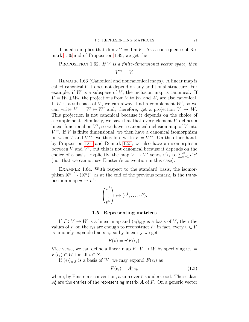<span id="page-20-3"></span>This also implies that dim  $V^{**} = \dim V$ . As a consequence of Remark [1.36](#page-13-3) and of Proposition [1.49,](#page-17-2) we get the

<span id="page-20-1"></span>**PROPOSITION** 1.62. If V is a finite-dimensional vector space, then

 $V^{**} = V.$ 

REMARK 1.63 (Canonical and noncanonical maps). A linear map is called canonical if it does not depend on any additional structure. For example, if  $W$  is a subspace of  $V$ , the inclusion map is canonical. If  $V = W_1 \oplus W_2$ , the projections from V to  $W_1$  and  $W_2$  are also canonical. If  $W$  is a subspace of  $V$ , we can always find a complement  $W'$ , so we can write  $V = W \oplus W'$  and, therefore, get a projection  $V \to W$ . This projection is not canonical because it depends on the choice of a complement. Similarly, we saw that that every element V defines a linear functional on  $V^*$ , so we have a canonical inclusion map of V into  $V^{**}$ . If V is finite dimensional, we then have a canonical isomorphism between V and  $V^{**}$ : we therefore write  $V = V^{**}$ . On the other hand, by Proposition [1.61](#page-19-0) and Remark [1.53,](#page-18-3) we also have an isomorphism between  $V$  and  $V^*$ , but this is not canonical because it depends on the choice of a basis. Explicitly, the map  $V \to V^*$  sends  $v^i e_i$  to  $\sum_{i=1}^n v^i e^i$ (not that we cannot use Einstein's convention in this case).

Example 1.64. With respect to the standard basis, the isomorphism  $\mathbb{K}^n \stackrel{\sim}{\to} (\mathbb{K}^n)^*$ , as at the end of the previous remark, is the transposition map  $v\mapsto v^{\mathsf{T}}$ :

$$
\begin{pmatrix} v^1 \\ \vdots \\ v^n \end{pmatrix} \mapsto (v^1, \dots, v^n).
$$

### 1.5. Representing matrices

<span id="page-20-0"></span>If  $F: V \to W$  is a linear map and  $(e_i)_{i \in S}$  is a basis of V, then the values of F on the  $e_i$ s are enough to reconstruct F; in fact, every  $v \in V$ is uniquely expanded as  $v^i e_i$ , so by linearity we get

$$
F(v) = v^i F(e_i).
$$

Vice versa, we can define a linear map  $F: V \to W$  by specifying  $w_i :=$  $F(e_i) \in W$  for all  $i \in S$ .

If  $(\bar{e}_{\bar{i}})_{\bar{i}\in\bar{S}}$  is a basis of W, we may expand  $F(e_i)$  as

<span id="page-20-2"></span>
$$
F(e_i) = A_i^{\bar{i}} \,\bar{e}_{\bar{i}},\tag{1.3}
$$

where, by Einstein's convention, a sum over  $\overline{i}$  is understood. The scalars  $A_i^{\bar{\imath}}$  are the entries of the representing matrix  $\bm{A}$  of  $F.$  On a generic vector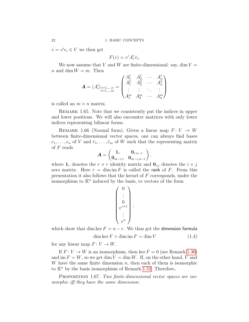$v = v^i e_i \in V$  we then get

$$
F(v) = v^i A_i^{\bar{\imath}} \bar{e}_{\bar{\imath}}.
$$

We now assume that V and W are finite-dimensional: say, dim  $V =$ n and dim  $W = m$ . Then

$$
\mathbf{A} = (A_i^{\bar{i}})_{\substack{i=1,\dots,n \\ i=1,\dots,m}} = \begin{pmatrix} A_1^1 & A_2^1 & \cdots & A_n^1 \\ A_1^2 & A_2^2 & \cdots & A_n^2 \\ \vdots & \vdots & \ddots & \vdots \\ A_1^m & A_2^m & \cdots & A_n^m \end{pmatrix}
$$

is called an  $m \times n$  matrix.

REMARK 1.65. Note that we consistently put the indices in upper and lower positions. We will also encounter matrices with only lower indices representing bilinear forms.

REMARK 1.66 (Normal form). Given a linear map  $F: V \to W$ between finite-dimensional vector spaces, one can always find bases  $e_1, \ldots, e_n$  of V and  $\bar{e}_1, \ldots, \bar{e}_m$  of W such that the representing matrix of  $F$  reads

$$
\boldsymbol{A} = \begin{pmatrix} \boldsymbol{1}_r & \boldsymbol{0}_{r,n-r} \\ \boldsymbol{0}_{m-r,r} & \boldsymbol{0}_{m-r,n-r} \end{pmatrix},
$$

where  $\mathbf{1}_r$  denotes the  $r \times r$  identity matrix and  $\mathbf{0}_{i,j}$  denotes the  $i \times j$ zero matrix. Here  $r = \dim \mathrm{im} F$  is called the rank of F. From this presentation it also follows that the kernel of F corresponds, under the isomorphism to  $\mathbb{K}^n$  induced by the basis, to vectors of the form

$$
\begin{pmatrix}\n0 \\
\vdots \\
0 \\
v^{r+1} \\
\vdots \\
v^n\n\end{pmatrix},
$$

<span id="page-21-1"></span>which show that dim ker  $F = n - r$ . We thus get the dimension formula  $\dim \ker F + \dim \mathrm{im} F = \dim V$  (1.4)

for any linear map  $F: V \to W$ .

If  $F: V \to W$  is an isomorphism, then ker  $F = 0$  (see Remark [1.30\)](#page-12-0) and im  $F = W$ , so we get dim  $V = \dim W$ . If, on the other hand, V and W have the same finite dimension  $n$ , then each of them is isomorphic to  $\mathbb{K}^n$  by the basis isomorphism of Remark [1.52.](#page-18-2) Therefore,

<span id="page-21-0"></span>PROPOSITION 1.67. Two finite-dimensional vector spaces are isomorphic iff they have the same dimension.

<span id="page-21-2"></span>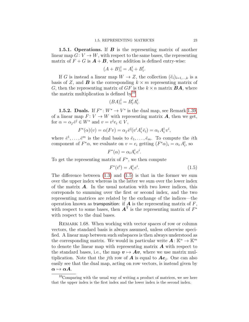<span id="page-22-4"></span><span id="page-22-0"></span>1.5.1. Operations. If  $B$  is the representing matrix of another linear map  $G: V \to W$ , with respect to the same bases, the representing matrix of  $F + G$  is  $\mathbf{A} + \mathbf{B}$ , where addition is defined entry-wise:

$$
(A+B)^{\overline{i}}_i = A^{\overline{i}}_i + B^{\overline{i}}_i.
$$

If G is instead a linear map  $W \to Z$ , the collection  $(\tilde{e}_i)_{i=1,\dots,k}$  is a basis of Z, and **B** is the corresponding  $k \times m$  representing matrix of G, then the representing matrix of GF is the  $k \times n$  matrix **BA**, where the matrix multiplication is defined  $by<sup>10</sup>$  $by<sup>10</sup>$  $by<sup>10</sup>$ 

$$
(BA)^{\tilde{i}}_i = B^{\tilde{i}}_{\bar{i}} A^{\bar{i}}_i.
$$

<span id="page-22-1"></span>**1.5.2. Duals.** If  $F^*: W^* \to V^*$  is the dual map, see Remark [1.39,](#page-14-2) of a linear map  $F: V \to W$  with representing matrix **A**, then we get, for  $\alpha = \alpha_{\bar{j}} e^{\bar{j}} \in W^*$  and  $v = v^i e_i \in V$ ,

$$
F^*(\alpha)(v) = \alpha(Fv) = \alpha_{\bar{j}} \bar{e}^{\bar{j}}(v^i A_i^{\bar{i}} \bar{e}_{\bar{i}}) = \alpha_{\bar{i}} A_i^{\bar{i}} v^i,
$$

where  $\bar{e}^1, \ldots, \bar{e}^m$  is the dual basis to  $\bar{e}_1, \ldots, \bar{e}_m$ . To compute the *i*th component of  $F^*\alpha$ , we evaluate on  $v = e_i$  getting  $(F^*\alpha)_i = \alpha_i A_i^{\overline{i}}$ , so

$$
F^*(\alpha) = \alpha_{\bar{\imath}} A_{i}^{\bar{\imath}} e^{i}.
$$

To get the representing matrix of  $F^*$ , we then compute

<span id="page-22-3"></span>
$$
F^*(\bar{e}^{\bar{i}}) = A_i^{\bar{i}} e^i. \tag{1.5}
$$

The difference between  $(1.3)$  and  $(1.5)$  is that in the former we sum over the upper index whereas in the latter we sum over the lower index of the matrix  $\boldsymbol{A}$ . In the usual notation with two lower indices, this correponds to summing over the first or second index, and the two representing matrices are related by the exchange of the indices—the operation known as transposition: if  $\boldsymbol{A}$  is the representing matrix of  $F$ , with respect to some bases, then  $\mathbf{A}^{\mathsf{T}}$  is the representing matrix of  $F^*$ with respect to the dual bases.

REMARK 1.68. When working with vector spaces of row or column vectors, the standard basis is always assumed, unless otherwise specified. A linear map between such subspaces is then always understood as the corresponding matrix. We would in particular write  $A: \mathbb{K}^n \to \mathbb{K}^m$ to denote the linear map with representing matrix  $\boldsymbol{A}$  with respect to the standard bases, i.e., the map  $v \mapsto Av$ , where we use matrix multiplication. Note that the j<sup>th</sup> row of  $A$  is equal to  $Ae_j$ . One can also easily see that the dual map, acting on row vectors, is instead given by  $\alpha \mapsto \alpha A$ .

<span id="page-22-2"></span> $^{10}$ Comparing with the usual way of writing a product of matrices, we see here that the upper index is the first index and the lower index is the second index.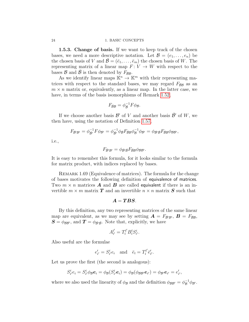### <span id="page-23-2"></span>24 1. BASIC CONCEPTS

<span id="page-23-0"></span>1.5.3. Change of basis. If we want to keep track of the chosen bases, we need a more descriptive notation. Let  $\mathcal{B} = (e_1, \ldots, e_n)$  be the chosen basis of V and  $\bar{\mathcal{B}} = (\bar{e}_1, \ldots, \bar{e}_m)$  the chosen basis of W. The representing matrix of a linear map  $F: V \to W$  with respect to the bases  $\mathcal{B}$  and  $\mathcal{B}$  is then denoted by  $F_{\bar{\mathcal{B}}\mathcal{B}}$ .

As we identify linear maps  $\mathbb{K}^n \to \mathbb{K}^m$  with their representing matrices with respect to the standard bases, we may regard  $F_{\bar{B}B}$  as an  $m \times n$  matrix or, equivalently, as a linear map. In the latter case, we have, in terms of the basis isomorphisms of Remark [1.52,](#page-18-2)

$$
F_{\bar{\mathcal{B}}\mathcal{B}} = \phi_{\bar{\mathcal{B}}}^{-1} F \phi_{\mathcal{B}}.
$$

If we choose another basis  $\mathcal{B}'$  of V and another basis  $\bar{\mathcal{B}}'$  of W, we then have, using the notation of Definition [1.57,](#page-18-4)

$$
F_{\bar{\mathcal{B}}'\mathcal{B}'}=\phi_{\bar{\mathcal{B}}'}^{-1}F\phi_{\mathcal{B}'}=\phi_{\bar{\mathcal{B}}'}^{-1}\phi_{\bar{\mathcal{B}}}F_{\bar{\mathcal{B}}\mathcal{B}}\phi_{\mathcal{B}}^{-1}\phi_{\mathcal{B}'}=\phi_{\bar{\mathcal{B}}'\bar{\mathcal{B}}}F_{\bar{\mathcal{B}}\mathcal{B}}\phi_{\mathcal{B}\mathcal{B}'},
$$

i.e.,

$$
F_{\bar{\mathcal{B}}'\mathcal{B}'}=\phi_{\bar{\mathcal{B}}'\bar{\mathcal{B}}}F_{\bar{\mathcal{B}}\mathcal{B}}\phi_{\mathcal{B}\mathcal{B}'}.
$$

It is easy to remember this formula, for it looks similar to the formula for matrix product, with indices replaced by bases.

<span id="page-23-1"></span>REMARK 1.69 (Equivalence of matrices). The formula for the change of bases motivates the following definition of equivalence of matrices. Two  $m \times n$  matrices **A** and **B** are called equivalent if there is an invertible  $m \times m$  matrix **T** and an invertible  $n \times n$  matrix **S** such that

$$
\boldsymbol{A} = \boldsymbol{T}\boldsymbol{B}\boldsymbol{S}.
$$

By this definition, any two representing matrices of the same linear map are equivalent, as we may see by setting  $\mathbf{A} = F_{\bar{\mathcal{B}}' \mathcal{B}'}, \mathbf{B} = F_{\bar{\mathcal{B}} \mathcal{B}},$  $S = \phi_{\mathcal{B}\mathcal{B}'},$  and  $\mathcal{T} = \phi_{\bar{\mathcal{B}}'\bar{\mathcal{B}}}$ . Note that, explicitly, we have

$$
A_{i'}^{\bar{\imath}'} = T_{\bar{\imath}}^{\bar{\imath}'} B_{i}^{\bar{\imath}} S_{i'}^i.
$$

Also useful are the formulae

$$
e'_{i'} = S^i_{i'} e_i \quad \text{and} \quad \bar{e}_{\bar{i}} = T^{\bar{i}'}_{\bar{i}} \bar{e}'_{\bar{i'}}.
$$

Let us prove the first (the second is analogous):

$$
S_{i'}^{i}e_i=S_{i'}^{i}\phi_{\mathcal{B}}\mathbf{e}_i=\phi_{\mathcal{B}}(S_{i'}^{i}\mathbf{e}_i)=\phi_{\mathcal{B}}(\phi_{\mathcal{B}\mathcal{B}'}\mathbf{e}_{i'})=\phi_{\mathcal{B}'}\mathbf{e}_{i'}=e'_{i'},
$$

where we also used the linearity of  $\phi_B$  and the definition  $\phi_{BB'} = \phi_B^{-1} \phi_{B'}$ .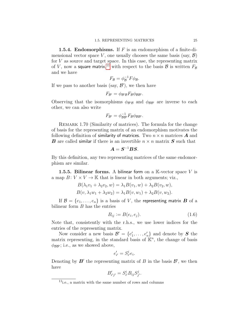<span id="page-24-5"></span><span id="page-24-0"></span>**1.5.4. Endomorphisms.** If  $F$  is an endomorphism of a finite-dimensional vector space V, one usually chooses the same basis (say,  $\mathcal{B}$ ) for  $V$  as source and target space. In this case, the representing matrix of  $V$ , now a **square matrix**, $^{11}$  $^{11}$  $^{11}$  with respect to the basis  ${\cal B}$  is written  $F_{\cal B}$ and we have

$$
F_{\mathcal{B}} = \phi_{\mathcal{B}}^{-1} F \phi_{\mathcal{B}}.
$$

If we pass to another basis (say,  $\mathcal{B}'$ ), we then have

$$
F_{\mathcal{B}'}=\phi_{\mathcal{B}'\mathcal{B}}F_{\mathcal{B}}\phi_{\mathcal{B}\mathcal{B}'}.
$$

Observing that the isomorphisms  $\phi_{\mathcal{B}'\mathcal{B}}$  and  $\phi_{\mathcal{B}\mathcal{B}'}$  are inverse to each other, we can also write

$$
F_{\mathcal{B}'} = \phi_{\mathcal{B}\mathcal{B}'}^{-1} F_{\mathcal{B}} \phi_{\mathcal{B}\mathcal{B}'}.
$$

<span id="page-24-3"></span>REMARK 1.70 (Similarity of matrices). The formula for the change of basis for the representing matrix of an endomorphism motivates the following definition of similarity of matrices. Two  $n \times n$  matrices **A** and **B** are called similar if there is an invertible  $n \times n$  matrix **S** such that

$$
\boldsymbol{A} = \boldsymbol{S}^{-1} \boldsymbol{B} \boldsymbol{S}.
$$

By this definition, any two representing matrices of the same endomorphism are similar.

<span id="page-24-1"></span>1.5.5. Bilinear forms. A bilinear form on a  $\mathbb{K}\text{-vector space }V$  is a map  $B: V \times V \to \mathbb{K}$  that is linear in both arguments; viz.,

$$
B(\lambda_1 v_1 + \lambda_2 v_2, w) = \lambda_1 B(v_1, w) + \lambda_2 B(v_2, w),
$$
  
\n
$$
B(v, \lambda_1 w_1 + \lambda_2 w_2) = \lambda_1 B(v, w_1) + \lambda_2 B(v, w_2).
$$

If  $\mathcal{B} = \{e_1, \ldots, e_n\}$  is a basis of V, the representing matrix **B** of a bilinear form  $B$  has the entries

<span id="page-24-4"></span>
$$
B_{ij} := B(e_i, e_j). \tag{1.6}
$$

Note that, consistently with the r.h.s., we use lower indices for the entries of the representing matrix.

Now consider a new basis  $\mathcal{B}' = \{e'_1, \ldots, e'_n\}$  and denote by  $S$  the matrix representing, in the standard basis of  $\mathbb{K}^n$ , the change of basis  $\phi_{\mathcal{BB'}};$  i.e., as we showed above,

$$
e'_{i'} = S^i_{i'} e_i.
$$

Denoting by  $\mathbf{B}'$  the representing matrix of B in the basis  $\mathcal{B}'$ , we then have

$$
B'_{i'j'} = S^i_{i'} B_{ij} S^j_{j'}.
$$

<span id="page-24-2"></span> $\overline{^{11}}$ i.e., a matrix with the same number of rows and columns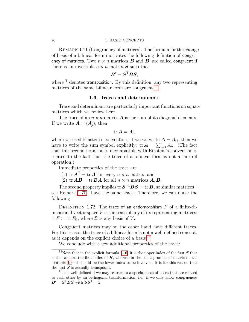### <span id="page-25-3"></span>26 1. BASIC CONCEPTS

REMARK 1.71 (Congruency of matrices). The formula for the change of basis of a bilinear form motivates the following definition of congruency of matrices. Two  $n \times n$  matrices  $\boldsymbol{B}$  and  $\boldsymbol{B}'$  are called congruent if there is an invertible  $n \times n$  matrix S such that

$$
\boldsymbol{B}' = \boldsymbol{S}^{\mathsf{T}} \boldsymbol{B} \boldsymbol{S},
$$

where  $\mathsf{\tau}$  denotes transposition. By this definition, any two representing matrices of the same bilinear form are congruent.<sup>[12](#page-25-1)</sup>

### 1.6. Traces and determinants

<span id="page-25-0"></span>Trace and determinant are particularly important functions on square matrices which we review here.

The trace of an  $n \times n$  matrix **A** is the sum of its diagonal elements. If we write  $\mathbf{A} = (A_j^i)$ , then

$$
\text{tr }\mathbf{A}=A_i^i,
$$

where we used Einstein's convention. If we we write  $\mathbf{A} = A_{ij}$ , then we have to write the sum symbol explicitly:  $tr \boldsymbol{A} = \sum_{i=1}^{n} A_{ii}$ . (The fact that this second notation is incompatible with Einstein's convention is related to the fact that the trace of a bilinear form is not a natural operation.)

Immediate properties of the trace are

- (1) tr  $\mathbf{A}^{\mathsf{T}} = \text{tr} \, \mathbf{A}$  for every  $n \times n$  matrix, and
- (2) tr  $AB = \text{tr } BA$  for all  $n \times n$  matrices  $A, B$ .

The second property implies tr  $\bm{S}^{-1}\bm{B}\bm{S} = \mathrm{tr}\,\bm{B},$  so similar matrices see Remark [1.70—](#page-24-3)have the same trace. Therefore, we can make the following

DEFINITION 1.72. The trace of an endomorphism  $F$  of a finite-dimensional vector space  $V$  is the trace of any of its representing matrices:  $\text{tr } F := \text{tr } F_{\mathcal{B}}$ , where  $\mathcal{B}$  is any basis of V.

Congruent matrices may on the other hand have different traces. For this reason the trace of a bilinear form is not a well-defined concept, as it depends on the explicit choice of a basis.[13](#page-25-2)

<span id="page-25-1"></span>We conclude with a few additional properties of the trace:

<sup>&</sup>lt;sup>12</sup>Note that in the explicit formula [\(1.6\)](#page-24-4) it is the upper index of the first  $S$  that is the same as the first index of  $B$ , whereas in the usual product of matrices—see footnote [10—](#page-22-2)it should be the lower index to be involved. It is for this reason that the first  $S$  is actually transposed.

<span id="page-25-2"></span> $13$ It is well-defined if we may restrict to a special class of bases that are related to each other by an orthogonal transformation, i.e., if we only allow congruences  $B' = S^{\mathsf{T}} B S$  with  $S S^{\mathsf{T}} = 1$ .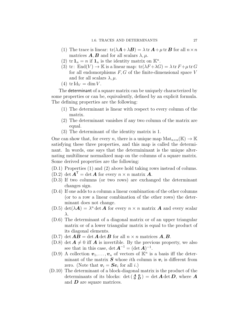- <span id="page-26-6"></span>(1) The trace is linear:  $tr(\lambda \mathbf{A} + \lambda \mathbf{B}) = \lambda tr \mathbf{A} + \mu tr \mathbf{B}$  for all  $n \times n$ matrices  $\mathbf{A}, \mathbf{B}$  and for all scalars  $\lambda, \mu$ .
- (2)  $tr \mathbf{1}_n = n$  if  $\mathbf{1}_n$  is the identity matrix on  $\mathbb{K}^n$ .
- (3) tr:  $\text{End}(V) \to \mathbb{K}$  is a linear map:  $\text{tr}(\lambda F + \lambda G) = \lambda \text{tr } F + \mu \text{tr } G$ for all endomorphisms  $F, G$  of the finite-dimensional space  $V$ and for all scalars  $\lambda, \mu$ .
- (4) tr Id<sub>V</sub> = dim V.

The determinant of a square matrix can be uniquely characterized by some properties or can be, equivalently, defined by an explicit formula. The defining properties are the following:

- (1) The determinant is linear with respect to every column of the matrix.
- (2) The determinant vanishes if any two column of the matrix are equal.
- (3) The determinant of the identity matrix is 1.

One can show that, for every n, there is a unique map  $\text{Mat}_{n\times n}(\mathbb{K}) \to \mathbb{K}$ satisfying these three properties, and this map is called the determinant. In words, one says that the determininant is the unique alternating multilinear normalized map on the columns of a square matrix. Some derived properties are the following:

- (D.1) Properties (1) and (2) above hold taking rows instead of colums.
- <span id="page-26-3"></span>(D.2) det  $\mathbf{A}^{\mathsf{T}} = \det \mathbf{A}$  for every  $n \times n$  matrix  $\mathbf{A}$ .
- (D.3) If two columns (or two rows) are exchanged the determinant changes sign.
- (D.4) If one adds to a column a linear combination of the other columns (or to a row a linear combination of the other rows) the determinant does not change.
- (D.5) det( $\lambda A$ ) =  $\lambda^n$  det **A** for every  $n \times n$  matrix **A** and every scalar λ.
- <span id="page-26-2"></span>(D.6) The determinant of a diagonal matrix or of an upper triangular matrix or of a lower triangular matrix is equal to the product of its diagonal elements.
- <span id="page-26-4"></span> $(D.7)$  det  $AB = \det A \det B$  for all  $n \times n$  matrices  $A, B$ .
- <span id="page-26-0"></span>(D.8) det  $A \neq 0$  iff A is invertible. By the previous property, we also see that in this case, det  $\mathbf{A}^{-1} = (\det \mathbf{A})^{-1}$ .
- <span id="page-26-5"></span>(D.9) A collection  $\mathbf{v}_1, \ldots, \mathbf{v}_n$  of vectors of  $\mathbb{K}^n$  is a basis iff the determinant of the matrix  $S$  whose *i*th column is  $v_i$  is different from zero. (Note that  $v_i = S e_i$  for all *i*.)
- <span id="page-26-1"></span>(D.10) The determinant of a block-diagonal matrix is the product of the determinants of its blocks:  $\det\begin{pmatrix} A & 0 \\ 0 & D \end{pmatrix} = \det A \det D$ , where A and  $\boldsymbol{D}$  are square matrices.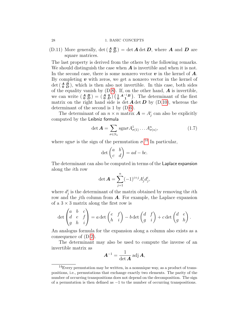<span id="page-27-2"></span> $(D.11)$  More generally,  $\det\left(\begin{array}{cc} A & B \\ 0 & D \end{array}\right) = \det A \det D$ , where A and D are square matrices.

The last property is derived from the others by the following remarks. We should distinguish the case when  $\boldsymbol{A}$  is invertible and when it is not. In the second case, there is some nonzero vector  $\boldsymbol{v}$  in the kernel of  $\boldsymbol{A}$ . By completing  $v$  with zeros, we get a nonzero vector in the kernel of  $\det \begin{pmatrix} A & B \\ 0 & D \end{pmatrix}$ , which is then also not invertible. In this case, both sides of the equality vanish by  $(D.8)$  $(D.8)$ . If, on the other hand,  $\boldsymbol{A}$  is invertible, we can write  $\begin{pmatrix} A & B \\ 0 & D \end{pmatrix} = \begin{pmatrix} A & 0 \\ 0 & D \end{pmatrix} \begin{pmatrix} 1 & A^{-1}B \\ 0 & 1 \end{pmatrix}$ . The determinant of the first matrix on the right hand side is det  $\vec{A}$  det  $\vec{D}$  by (D[.10\)](#page-26-1), whereas the determinant of the second is 1 by (D[.6\)](#page-26-2).

The determinant of an  $n \times n$  matrix  $\mathbf{A} = A_j^i$  can also be explicitly computed by the Leibniz formula

<span id="page-27-1"></span>
$$
\det \mathbf{A} = \sum_{\sigma \in S_n} \text{sgn}\sigma A_{\sigma(1)}^1 \dots A_{\sigma(n)}^n, \tag{1.7}
$$

where sgn $\sigma$  is the sign of the permutation  $\sigma$ .<sup>[14](#page-27-0)</sup> In particular,

$$
\det \begin{pmatrix} a & b \\ c & d \end{pmatrix} = ad - bc.
$$

The determinant can also be computed in terms of the Laplace expansion along the ith row

$$
\det \mathbf{A} = \sum_{j=1}^{n} (-1)^{i+j} A_j^i d_j^i,
$$

where  $d_j^i$  is the determinant of the matrix obtained by removing the *i*th row and the j<sup>th</sup> column from  $\boldsymbol{A}$ . For example, the Laplace expansion of a  $3 \times 3$  matrix along the first row is

$$
\det\begin{pmatrix} a & b & c \\ d & e & f \\ g & h & i \end{pmatrix} = a \det\begin{pmatrix} e & f \\ h & i \end{pmatrix} - b \det\begin{pmatrix} d & f \\ g & i \end{pmatrix} + c \det\begin{pmatrix} d & e \\ g & h \end{pmatrix}.
$$

An analogus formula for the expansion along a column also exists as a consequence of (D[.2\)](#page-26-3).

The determinant may also be used to compute the inverse of an invertible matrix as

$$
\boldsymbol{A}^{-1} = \frac{1}{\det \boldsymbol{A}} \operatorname{adj} \boldsymbol{A},
$$

<span id="page-27-3"></span>

<span id="page-27-0"></span><sup>14</sup>Every permutation may be written, in a nonunique way, as a product of transpositions, i.e., permutations that exchange exactly two elements. The parity of the number of occurring transpositions does not depend on the decomposition. The sign of a permutation is then defined as  $-1$  to the number of occurring transpositions.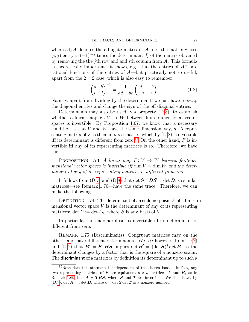<span id="page-28-3"></span>where adj  $\vec{A}$  denotes the adjugate matrix of  $\vec{A}$ , i.e., the matrix whose  $(i, j)$  entry is  $(-1)^{i+j}$  times the determinant  $d_i^j$  $i$  of the matrix obtained by removing the the j<sup>th</sup> row and and *i*th column from  $\boldsymbol{A}$ . This formula is theoretically important—it shows, e.g., that the entries of  $A^{-1}$  are rational functions of the entries of  $A$ —but practically not so useful, apart from the  $2 \times 2$  case, which is also easy to remember:

<span id="page-28-1"></span>
$$
\begin{pmatrix} a & b \\ c & d \end{pmatrix}^{-1} = \frac{1}{ad - bc} \begin{pmatrix} d & -b \\ -c & a \end{pmatrix}.
$$
 (1.8)

Namely, apart from dividing by the determinant, we just have to swap the diagonal entries and change the sign of the off diagonal entries.

Determinants may also be used, via property (D[.8\)](#page-26-0), to establish whether a linear map  $F: V \to W$  between finite-dimensional vector spaces is invertible. By Proposition [1.67,](#page-21-0) we know that a necessary condition is that V and W have the same dimension, say,  $n$ . A representing matrix of F is then an  $n \times n$  matrix, which by  $(D.8)$  $(D.8)$  is invertible iff its determinant is different from zero.<sup>[15](#page-28-0)</sup> On the other hand,  $F$  is invertible iff any of its representing matrices is so. Therefore, we have the

PROPOSITION 1.73. A linear map  $F: V \to W$  between finite-dimensional vector spaces is invertible iff dim  $V = \dim W$  and the determinant of any of its representing matrices is different from zero.

It follows from (D[.7\)](#page-26-4) and (D[.8\)](#page-26-0) that det  $S^{-1}BS = det B$ , so similar matrices—see Remark [1.70—](#page-24-3)have the same trace. Therefore, we can make the following

<span id="page-28-2"></span>DEFINITION 1.74. The determinant of an endomorphism  $F$  of a finite-dimensional vector space  $V$  is the determinant of any of its representing matrices:  $\det F := \det F_{\mathcal{B}}$ , where  $\mathcal B$  is any basis of V.

In particular, an endomorphism is invertible iff its determinant is different from zero.

REMARK 1.75 (Discriminants). Congruent matrices may on the other hand have different determinants. We see however, from (D[,2\)](#page-26-3) and (D[.7\)](#page-26-4) that  $\boldsymbol{B}' = \boldsymbol{S}^{\mathsf{T}} \boldsymbol{B} \boldsymbol{S}$  implies det  $\boldsymbol{B}' = (\det \boldsymbol{S})^2 \det \boldsymbol{B}$ , so the determinant changes by a factor that is the square of a nonzero scalar. The discriminant of a matrix is by definition its determinant up to such a

<span id="page-28-0"></span> $15$ Note that this statment is independent of the chosen bases. In fact, any two representing matrices of F are equivalent  $n \times n$  matrices **A** and **B**, as in Remark [1.69,](#page-23-1) i.e.,  $\mathbf{A} = TBS$ , where S and T are invertible. We then have, by  $(D.7)$  $(D.7)$ , det  $\mathbf{A} = c$  det  $\mathbf{B}$ , where  $c = \det \mathbf{S} \det \mathbf{T}$  is a nonzero number.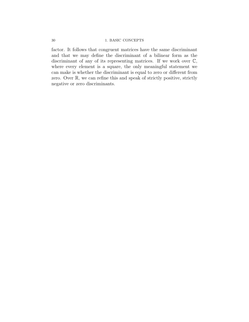### 30 1. BASIC CONCEPTS

factor. It follows that congruent matrices have the same discriminant and that we may define the discriminant of a bilinear form as the discriminant of any of its representing matrices. If we work over  $\mathbb{C}$ , where every element is a square, the only meaningful statement we can make is whether the discriminant is equal to zero or different from zero. Over R, we can refine this and speak of strictly positive, strictly negative or zero discriminants.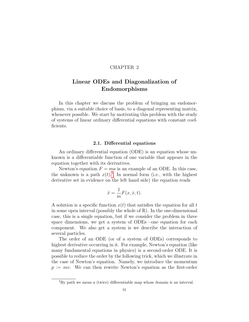### CHAPTER 2

### <span id="page-30-0"></span>Linear ODEs and Diagonalization of Endomorphisms

In this chapter we discuss the problem of bringing an endomorphism, via a suitable choice of basis, to a diagonal representing matrix, whenever possible. We start by motivating this problem with the study of systems of linear ordinary differential equations with constant coefficients.

### 2.1. Differential equations

<span id="page-30-1"></span>An ordinary differential equation (ODE) is an equation whose unknown is a differentiable function of one variable that appears in the equation together with its derivatives.

Newton's equation  $F = ma$  is an example of an ODE. In this case, the unknown is a path  $x(t)$ .<sup>[1](#page-30-2)</sup> In normal form (i.e., with the highest derivative set in evidence on the left hand side) the equation reads

$$
\ddot{x} = \frac{1}{m}F(x, \dot{x}, t).
$$

A solution is a specific function  $x(t)$  that satisfies the equation for all t in some open interval (possibly the whole of  $\mathbb{R}$ ). In the one-dimensional case, this is a single equation, but if we consider the problem in three space dimensions, we get a system of ODEs—one equation for each component. We also get a system is we describe the interaction of several particles.

The order of an ODE (or of a system of ODEs) corresponds to highest derivative occurring in it. For example, Newton's equation (like many fundamental equations in physics) is a second-order ODE. It is possible to reduce the order by the following trick, which we illustrate in the case of Newton's equation. Namely, we introduce the momentum  $p := mv$ . We can then rewrite Newton's equation as the first-order

<span id="page-30-2"></span> ${}^{1}_{1}$ By path we mean a (twice) differentiable map whose domain is an interval.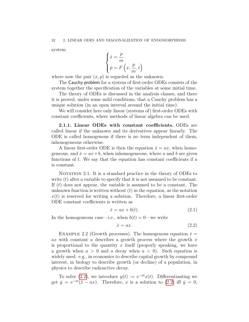<span id="page-31-3"></span>system

$$
\begin{cases} \dot{x} = \dfrac{p}{m} \\ \dot{p} = F\left(x, \dfrac{p}{m}, t\right) \end{cases}
$$

where now the pair  $(x, p)$  is regarded as the unknown.

The Cauchy problem for a system of first-order ODEs consists of the system together the specification of the variables at some initial time.

The theory of ODEs is discussed in the analysis classes, and there it is proved, under some mild conditions, that a Cauchy problem has a unique solution (in an open interval around the initial time).

We will consider here only linear (systems of) first-order ODEs with constant coefficients, where methods of linear algebra can be used.

<span id="page-31-0"></span>2.1.1. Linear ODEs with constant coefficients. ODEs are called linear if the unknown and its derivatives appear linearly. The ODE is called homogenous if there is no term independent of them, inhonogeneous otherwise.

A linear first-order ODE is then the equation  $\dot{x} = ax$ , when homogeneous, and  $\dot{x} = ax + b$ , when inhomogeneous, where a and b are given functions of  $t$ . We say that the equation has constant coefficients if  $a$ is constant.

NOTATION 2.1. It is a standard practice in the theory of ODEs to write  $(t)$  after a variable to specify that it is not assumed to be constant. If  $(t)$  does not appear, the variable is assumed to be a constant. The unknown function is written without  $(t)$  in the equation, as the notation  $x(t)$  is reserved for writing a solution. Therefore, a linear first-order ODE constant coefficients is written as

<span id="page-31-2"></span>
$$
\dot{x} = ax + b(t). \tag{2.1}
$$

In the homogeneous case—i.e., when  $b(t) = 0$ —we write

<span id="page-31-1"></span>
$$
\dot{x} = ax.\tag{2.2}
$$

EXAMPLE 2.2 (Growth processes). The homogenous equation  $\dot{x} =$ ax with constant a describes a growth process where the growth  $\dot{x}$ is proportional to the quantity x itself (properly speaking, we have a growth when  $a > 0$  and a decay when  $a < 0$ . Such equation is widely used: e.g., in economics to describe capital growth by compound interest, in biology to describe growth (or decline) of a population, in physics to describe radioactive decay.

To solve [\(2.2\)](#page-31-1), we introduce  $y(t) := e^{-at}x(t)$ . Differentianting we get  $\dot{y} = e^{-at}(\dot{x} - ax)$ . Therefore, x is a solution to [\(2.2\)](#page-31-1) iff  $\dot{y} = 0$ ,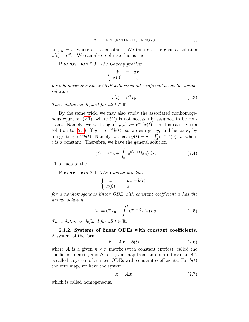<span id="page-32-6"></span>i.e.,  $y = c$ , where c is a constant. We then get the general solution  $x(t) = e^{at}c$ . We can also rephrase this as the

<span id="page-32-5"></span>PROPOSITION 2.3. The Cauchy problem

$$
\begin{cases}\n\dot{x} = ax \\
x(0) = x_0\n\end{cases}
$$

for a homogenous linear ODE with constant coefficient a has the unique solution

<span id="page-32-4"></span>
$$
x(t) = e^{at}x_0.
$$
\n
$$
(2.3)
$$

The solution is defined for all  $t \in \mathbb{R}$ .

By the same trick, we may also study the associated nonhomoge-nous equation [\(2.1\)](#page-31-2), where  $b(t)$  is not necessarily assumed to be constant. Namely, we write again  $y(t) := e^{-at}x(t)$ . In this case, x is a solution to [\(2.1\)](#page-31-2) iff  $\dot{y} = e^{-at} b(t)$ , so we can get y, and hence x, by integrating  $e^{-at}b(t)$ . Namely, we have  $y(t) = c + \int_0^t e^{-as} b(s) ds$ , where  $c$  is a constant. Therefore, we have the general solution

<span id="page-32-3"></span>
$$
x(t) = e^{at}c + \int_0^t e^{a(t-s)} b(s) ds.
$$
 (2.4)

This leads to the

PROPOSITION 2.4. The Cauchy problem

$$
\begin{cases}\n\dot{x} = ax + b(t) \\
x(0) = x_0\n\end{cases}
$$

for a nonhomogenous linear ODE with constant coefficient a has the unique solution

$$
x(t) = e^{at}x_0 + \int_0^t e^{a(t-s)} b(s) ds.
$$
 (2.5)

The solution is defined for all  $t \in \mathbb{R}$ .

<span id="page-32-0"></span>2.1.2. Systems of linear ODEs with constant coefficients. A system of the form

<span id="page-32-2"></span>
$$
\dot{\boldsymbol{x}} = \boldsymbol{A}\boldsymbol{x} + \boldsymbol{b}(t), \tag{2.6}
$$

where **A** is a given  $n \times n$  matrix (with constant entries), called the coefficient matrix, and **b** is a given map from an open interval to  $\mathbb{R}^n$ , is called a system of n linear ODEs with constant coefficients. For  $\boldsymbol{b}(t)$ the zero map, we have the system

<span id="page-32-1"></span>
$$
\dot{x} = Ax,\tag{2.7}
$$

which is called homogeneous.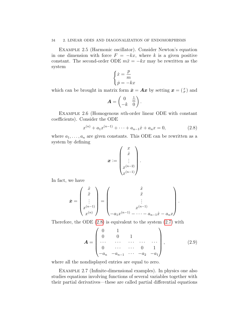### 34 2. LINEAR ODES AND DIAGONALIZATION OF ENDOMORPHISMS

<span id="page-33-1"></span>Example 2.5 (Harmonic oscillator). Consider Newton's equation in one dimension with force  $F = -kx$ , where k is a given positive constant. The second-order ODE  $m\ddot{x} = -kx$  may be rewritten as the system

$$
\begin{cases} \dot{x} = \frac{p}{m} \\ \dot{p} = -kx \end{cases}
$$

which can be brought in matrix form  $\dot{x} = Ax$  by setting  $x = \begin{pmatrix} x \\ p \end{pmatrix}$  and

$$
\mathbf{A} = \begin{pmatrix} 0 & \frac{1}{m} \\ -k & 0 \end{pmatrix}.
$$

<span id="page-33-3"></span>Example 2.6 (Homogenous nth-order linear ODE with constant coefficients). Consider the ODE

<span id="page-33-0"></span>
$$
x^{(n)} + a_1 x^{(n-1)} + \dots + a_{n-1} \dot{x} + a_n x = 0,
$$
\n(2.8)

where  $a_1, \ldots, a_n$  are given constants. This ODE can be rewritten as a system by defining

$$
\boldsymbol{x} := \begin{pmatrix} x \\ \dot{x} \\ \vdots \\ x^{(n-2)} \\ x^{(n-1)} \end{pmatrix}.
$$

In fact, we have

$$
\dot{\boldsymbol{x}} = \begin{pmatrix} \dot{x} \\ \ddot{x} \\ \vdots \\ x^{(n-1)} \\ x^{(n)} \end{pmatrix} = \begin{pmatrix} \dot{x} \\ \ddot{x} \\ \vdots \\ x^{(n-1)} \\ -a_1 x^{(n-1)} - \cdots - a_{n-1} \dot{x} - a_n x \end{pmatrix}.
$$

Therefore, the ODE  $(2.8)$  is equivalent to the system  $(2.7)$  with

<span id="page-33-2"></span>
$$
\mathbf{A} = \begin{pmatrix} 0 & 1 & & & \\ 0 & 0 & 1 & & \\ \cdots & \cdots & \cdots & \cdots & \cdots \\ 0 & \cdots & \cdots & 0 & 1 \\ -a_n & -a_{n-1} & \cdots & -a_2 & -a_1 \end{pmatrix},
$$
(2.9)

where all the nondisplayed entries are equal to zero.

<span id="page-33-4"></span>EXAMPLE 2.7 (Infinite-dimensional examples). In physics one also studies equations involving functions of several variables together with their partial derivatives—these are called partial differential equations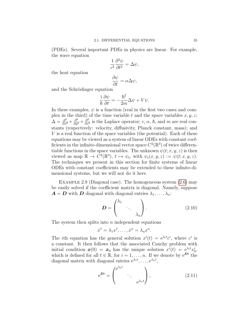(PDEs). Several important PDEs in physics are linear. For example, the wave equation

$$
\frac{1}{c^2} \frac{\partial^2 \psi}{\partial t^2} = \Delta \psi,
$$

the heat equation

$$
\frac{\partial \psi}{\partial t} = \alpha \Delta \psi,
$$

and the Schrödinger equation

$$
\frac{\mathrm{i}}{\hbar}\frac{\partial\psi}{\partial t}=-\frac{\hbar^2}{2m}\Delta\psi+V\psi.
$$

In these examples,  $\psi$  is a function (real in the first two cases and complex in the third) of the time variable t and the space variables  $x, y, z$ ;  $\Delta = \frac{\partial^2}{\partial x^2} + \frac{\partial^2}{\partial y^2} + \frac{\partial^2}{\partial z^2}$  $\frac{\partial^2}{\partial z^2}$  is the Laplace operator; c,  $\alpha$ ,  $\hbar$ , and m are real constants (respectively: velocity, diffusivity, Planck constant, mass); and V is a real function of the space variables (the potential). Each of these equations may be viewed as a system of linear ODEs with constant coefficients in the infinite-dimensional vector space  $C^2(\mathbb{R}^3)$  of twice differentiable functions in the space variables. The unknown  $\psi(t; x, y, z)$  is then viewed as map  $\mathbb{R} \to \tilde{C}^2(\mathbb{R}^3)$ ,  $t \mapsto \psi_t$ , with  $\psi_t(x, y, z) := \psi(t; x, y, z)$ . The techniques we present in this section for finite systems of linear ODEs with constant coefficients may be extended to these infinite-dimensional systems, but we will not do it here.

<span id="page-34-2"></span>Example 2.8 (Diagonal case). The homogeneous system [\(2.6\)](#page-32-2) may be easily solved if the coefficient matrix is diagonal. Namely, suppose  $A = D$  with D diagonal with diagonal entries  $\lambda_1, \ldots, \lambda_n$ :

<span id="page-34-0"></span>
$$
\boldsymbol{D} = \begin{pmatrix} \lambda_1 & & \\ & \ddots & \\ & & \lambda_n \end{pmatrix} . \tag{2.10}
$$

The system then splits into  $n$  independent equations

$$
\dot{x}^1 = \lambda_1 x^1, \dots, \dot{x}^n = \lambda_n x^n.
$$

The *i*th equation has the general solution  $x^{i}(t) = e^{\lambda_{i}t}c^{i}$ , where  $c^{i}$  is a constant. It then follows that the associated Cauchy problem with initial condition  $x(0) = x_0$  has the unique solution  $x^{i}(t) = e^{\lambda_i t} x_0^{i}$ , which is defined for all  $t \in \mathbb{R}$ , for  $i = 1, \ldots, n$ . If we denote by  $e^{Dt}$  the diagonal matrix with diagonal entries  $e^{\lambda_1 t}, \dots, e^{\lambda_n t}$ ,

<span id="page-34-1"></span>
$$
e^{\mathbf{D}t} = \begin{pmatrix} e^{\lambda_1 t} & & \\ & \ddots & \\ & & e^{\lambda_n t} \end{pmatrix}, \qquad (2.11)
$$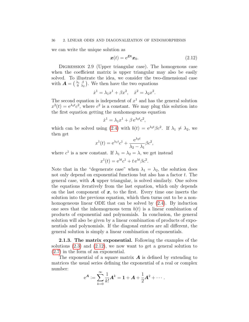<span id="page-35-3"></span>we can write the unique solution as

<span id="page-35-1"></span>
$$
\boldsymbol{x}(t) = e^{\boldsymbol{D}t}\boldsymbol{x}_0. \tag{2.12}
$$

<span id="page-35-2"></span>DIGRESSION 2.9 (Upper triangular case). The homogenous case when the coefficient matrix is upper triangular may also be easily solved. To illustrate the idea, we consider the two-dimensional case with  $\mathbf{A} = \begin{pmatrix} \lambda_1 & \beta \\ 0 & \lambda_2 \end{pmatrix}$  $\begin{pmatrix} \lambda_1 & \beta \\ 0 & \lambda_2 \end{pmatrix}$ . We then have the two equations

$$
\dot{x}^1 = \lambda_1 x^1 + \beta x^2, \quad \dot{x}^2 = \lambda_2 x^2.
$$

The second equation is independent of  $x<sup>1</sup>$  and has the general solution  $x^2(t) = e^{\lambda_2 t} c^2$ , where  $c^2$  is a constant. We may plug this solution into the first equation getting the nonhomogenous equation

$$
\dot{x}^1 = \lambda_1 x^1 + \beta e^{\lambda_2 t} c^2,
$$

which can be solved using [\(2.4\)](#page-32-3) with  $b(t) = e^{\lambda_2 t} \beta c^2$ . If  $\lambda_1 \neq \lambda_2$ , we then get

$$
x^{1}(t) = e^{\lambda_1 t} c^1 + \frac{e^{\lambda_2 t}}{\lambda_2 - \lambda_1} \beta c^2,
$$

where  $c^1$  is a new constant. If  $\lambda_1 = \lambda_2 = \lambda$ , we get instead

$$
x^1(t) = e^{\lambda t}c^1 + t e^{\lambda t} \beta c^2.
$$

Note that in the "degenerate case" when  $\lambda_1 = \lambda_2$ , the solution does not only depend on exponential functions but also has a factor  $t$ . The general case, with  $\boldsymbol{A}$  upper triangular, is solved similarly. One solves the equations iteratively from the last equation, which only depends on the last component of  $x$ , to the first. Every time one inserts the solution into the previous equation, which then turns out to be a nonhomogeneous linear ODE that can be solved by [\(2.4\)](#page-32-3). By induction one sees that the inhomogenous term  $b(t)$  is a linear combination of products of exponential and polynomials. In conclusion, the general solution will also be given by a linear combination of products of exponentials and polynomials. If the diagonal entries are all different, the general solution is simply a linear combination of exponentials.

<span id="page-35-0"></span>2.1.3. The matrix exponential. Following the examples of the solutions [\(2.3\)](#page-32-4) and [\(2.12\)](#page-35-1), we now want to get a general solution to [\(2.7\)](#page-32-1) in the form of an exponential.

The exponential of a square matrix  $\boldsymbol{A}$  is defined by extending to matrices the usual series defining the exponential of a real or complex number:

$$
e^{\mathbf{A}} := \sum_{k=0}^{\infty} \frac{1}{k!} \mathbf{A}^{k} = \mathbf{1} + \mathbf{A} + \frac{1}{2} \mathbf{A}^{2} + \cdots
$$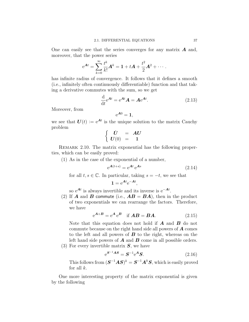<span id="page-36-4"></span>One can easily see that the series converges for any matrix  $\boldsymbol{A}$  and, moreover, that the power series

$$
e^{At} = \sum_{k=0}^{\infty} \frac{t^k}{k!} A^k = 1 + tA + \frac{t^2}{2} A^2 + \cdots
$$

has infinite radius of convergence. It follows that it defines a smooth (i.e., infinitely often continuously differentiable) function and that taking a derivative commutes with the sum, so we get

<span id="page-36-1"></span>
$$
\frac{\mathrm{d}}{\mathrm{d}t}e^{\mathbf{A}t} = e^{\mathbf{A}t}\mathbf{A} = \mathbf{A}e^{\mathbf{A}t}.\tag{2.13}
$$

Moreover, from

$$
e^{A0}=1,
$$

we see that  $U(t) := e^{At}$  is the unique solution to the matrix Cauchy problem

$$
\left\{ \begin{array}{ccl} \dot{U} & = & AU \\ U(0) & = & 1 \end{array} \right.
$$

REMARK 2.10. The matrix exponential has the following properties, which can be easily proved:

(1) As in the case of the exponential of a number,

<span id="page-36-0"></span>
$$
e^{\mathbf{A}(t+s)} = e^{\mathbf{A}t} e^{\mathbf{A}s} \tag{2.14}
$$

for all  $t, s \in \mathbb{C}$ . In particular, taking  $s = -t$ , we see that

$$
1 = e^{At}e^{-At},
$$

so e<sup>At</sup> is always invertible and its inverse is  $e^{-At}$ .

(2) If **A** and **B** commute (i.e.,  $AB = BA$ ), then in the product of two exponentials we can rearrange the factors. Therefore, we have

<span id="page-36-2"></span>
$$
e^{\mathbf{A} + \mathbf{B}} = e^{\mathbf{A}} e^{\mathbf{B}} \quad \text{if } \mathbf{A}\mathbf{B} = \mathbf{B}\mathbf{A}.
$$
 (2.15)

Note that this equation does not hold if  $A$  and  $B$  do not commute because on the right hand side all powers of  $\boldsymbol{A}$  comes to the left and all powers of  $\boldsymbol{B}$  to the right, whereas on the left hand side powers of  $\boldsymbol{A}$  and  $\boldsymbol{B}$  come in all possible orders.

(3) For every invertible matrix  $S$ , we have

<span id="page-36-3"></span>
$$
e^{\mathbf{S}^{-1}\mathbf{A}\mathbf{S}} = \mathbf{S}^{-1}e^{\mathbf{A}}\mathbf{S}.
$$
 (2.16)

This follows from  $(\boldsymbol{S}^{-1}\boldsymbol{A}\boldsymbol{S})^k = \boldsymbol{S}^{-1}\boldsymbol{A}^k\boldsymbol{S}$ , which is easily proved for all  $k$ .

One more interesting property of the matrix exponential is given by the following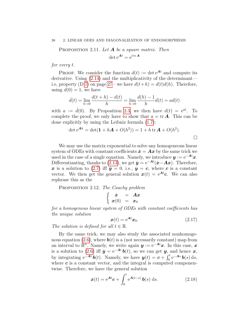<span id="page-37-1"></span><span id="page-37-0"></span>PROPOSITION 2.11. Let  $A$  be a square matrix. Then  $\det e^{\mathbf{A}t} = e^{t \operatorname{tr} \mathbf{A}}$ 

for every t.

**PROOF.** We consider the function  $d(t) := \det e^{At}$  and compute its derivative. Using [\(2.14\)](#page-36-0) and the multiplicativity of the determinant— i.e, property (D[.7\)](#page-26-4) on page [27—](#page-26-4)we have  $d(t+h) = d(t)d(h)$ . Therefore, using  $d(0) = 1$ , we have

$$
\dot{d}(t) = \lim_{h \to 0} \frac{d(t+h) - d(t)}{h} = \lim_{h \to 0} \frac{d(h) - 1}{h} d(t) = ad(t)
$$

with  $a := d(0)$ . By Proposition [2.3,](#page-32-5) we then have  $d(t) = e^{at}$ . To complete the proof, we only have to show that  $a = \text{tr } \mathbf{A}$ . This can be done explicitly by using the Leibniz formula [\(1.7\)](#page-27-1):

$$
\det e^{Ah} = \det(\mathbf{1} + h\mathbf{A} + O(h^2)) = 1 + h \operatorname{tr} \mathbf{A} + O(h^2).
$$

We may use the matrix exponential to solve any homogeneous linear system of ODEs with constant coefficients  $\dot{x} = Ax$  by the same trick we used in the case of a single equation. Namely, we introduce  $y = e^{-At}x$ . Differentianting, thanks to [\(2.13\)](#page-36-1), we get  $\dot{y} = e^{-At}(\dot{x} - Ax)$ . Therefore, x is a solution to [\(2.7\)](#page-32-1) iff  $\dot{y} = 0$ , i.e.,  $y = c$ , where c is a constant vector. We then get the general solution  $x(t) = e^{At}c$ . We can also rephrase this as the

PROPOSITION 2.12. The Cauchy problem

$$
\left\{ \begin{array}{rcl} \dot{\bm{x}} & = & \bm{A}\bm{x} \\ \bm{x}(0) & = & \bm{x}_0 \end{array} \right.
$$

for a homogenous linear system of ODEs with constant coefficients has the unique solution

$$
\boldsymbol{x}(t) = e^{\boldsymbol{A}t}\boldsymbol{x}_0. \tag{2.17}
$$

The solution is defined for all  $t \in \mathbb{R}$ .

By the same trick, we may also study the associated nonhomoge-nous equation [\(2.6\)](#page-32-2), where  $\boldsymbol{b}(t)$  is a (not necessarily constant) map from an interval to  $\mathbb{R}^n$ . Namely, we write again  $y := e^{-At}x$ . In this case, x is a solution to [\(2.6\)](#page-32-2) iff  $\dot{y} = e^{-At} b(t)$ , so we can get y, and hence x, by integrating  $e^{-At} b(t)$ . Namely, we have  $y(t) = c + \int_0^t e^{-As} b(s) ds$ , where  $c$  is a constant vector, and the integral is computed componentwise. Therefore, we have the general solution

$$
\boldsymbol{x}(t) = e^{\boldsymbol{A}t}\boldsymbol{c} + \int_0^t e^{\boldsymbol{A}(t-s)}\,\boldsymbol{b}(s)\,\mathrm{d}s. \tag{2.18}
$$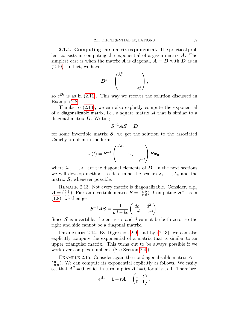<span id="page-38-2"></span><span id="page-38-0"></span>2.1.4. Computing the matrix exponential. The practical problem consists in computing the exponential of a given matrix  $\boldsymbol{A}$ . The simplest case is when the matrix  $\boldsymbol{A}$  is diagonal,  $\boldsymbol{A} = \boldsymbol{D}$  with  $\boldsymbol{D}$  as in  $(2.10)$ . In fact, we have

$$
\boldsymbol{D}^k = \begin{pmatrix} \lambda_1^k & & \\ & \ddots & \\ & & \lambda_n^k \end{pmatrix},
$$

so  $e^{Dt}$  is as in [\(2.11\)](#page-34-1). This way we recover the solution discussed in Example [2.8.](#page-34-2)

Thanks to [\(2.13\)](#page-36-1), we can also explictly compute the exponential of a diagonalizable matrix, i.e., a square matrix  $\boldsymbol{A}$  that is similar to a diagonal matrix  $\bm{D}$ . Writing

$$
\boldsymbol{S}^{-1}\boldsymbol{A}\boldsymbol{S}=\boldsymbol{D}
$$

for some invertible matrix  $S$ , we get the solution to the associated Cauchy problem in the form

$$
\boldsymbol{x}(t) = \boldsymbol{S}^{-1} \begin{pmatrix} e^{\lambda_1 t} & & \\ & \ddots & \\ & & e^{\lambda_n t} \end{pmatrix} \boldsymbol{S} \boldsymbol{x}_0,
$$

where  $\lambda_1, \ldots, \lambda_n$  are the diagonal elements of **D**. In the next sections we will develop methods to determine the scalars  $\lambda_1, \ldots, \lambda_n$  and the matrix  $S$ , whenever possible.

<span id="page-38-1"></span>Remark 2.13. Not every matrix is diagonalizable. Consider, e.g.,  $\mathbf{A} = \begin{pmatrix} 0 & 1 \\ 0 & 0 \end{pmatrix}$ . Pick an invertible matrix  $\mathbf{S} = \begin{pmatrix} a & b \\ c & d \end{pmatrix}$ . Computing  $\mathbf{S}^{-1}$  as in [\(1.8\)](#page-28-1), we then get

$$
\boldsymbol{S}^{-1}\boldsymbol{A}\boldsymbol{S} = \frac{1}{ad - bc} \begin{pmatrix} dc & d^2 \\ -c^2 & -cd \end{pmatrix}.
$$

Since  $S$  is invertible, the entries c and d cannot be both zero, so the right and side cannot be a diagonal matrix.

DIGRESSION 2.14. By Digression [2.9,](#page-35-2) and by  $(2.13)$ , we can also explicitly compute the exponential of a matrix that is similar to an upper triangular matrix. This turns out to be always possible if we work over complex numbers. (See Section [2.4.](#page-51-0))

EXAMPLE 2.15. Consider again the nondiagonalizable matrix  $\mathbf{A} =$  $\binom{0}{0}\binom{1}{0}$ . We can compute its exponential explicitly as follows. We easily see that  $\mathbf{A}^2 = \mathbf{0}$ , which in turn implies  $\mathbf{A}^n = 0$  for all  $n > 1$ . Therefore,

$$
e^{\mathbf{A}t} = \mathbf{1} + t\mathbf{A} = \begin{pmatrix} 1 & t \\ 0 & 1 \end{pmatrix}.
$$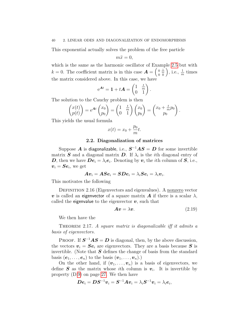<span id="page-39-3"></span>This exponential actually solves the problem of the free particle

$$
m\ddot{x}=0,
$$

which is the same as the harmonic oscillator of Example [2.5](#page-33-1) but with  $k = 0$ . The coefficient matrix is in this case  $\boldsymbol{A} = \begin{pmatrix} 0 & \frac{1}{m} \\ 0 & 0 \end{pmatrix}$ , i.e.,  $\frac{1}{m}$  times the matrix considered above. In this case, we have

$$
e^{At} = 1 + tA = \begin{pmatrix} 1 & \frac{t}{m} \\ 0 & 1 \end{pmatrix}.
$$

The solution to the Cauchy problem is then

$$
\begin{pmatrix} x(t) \\ p(t) \end{pmatrix} = e^{At} \begin{pmatrix} x_0 \\ p_0 \end{pmatrix} = \begin{pmatrix} 1 & \frac{t}{m} \\ 0 & 1 \end{pmatrix} \begin{pmatrix} x_0 \\ p_0 \end{pmatrix} = \begin{pmatrix} x_0 + \frac{t}{m} p_0 \\ p_0 \end{pmatrix}.
$$

This yields the usual formula

$$
x(t) = x_0 + \frac{p_0}{m}t.
$$

### 2.2. Diagonalization of matrices

<span id="page-39-0"></span>Suppose  $\bm{A}$  is diagonalizable, i.e.,  $\bm{S}^{-1}\bm{A}\bm{S}=\bm{D}$  for some invertible matrix  $S$  and a diagonal matrix  $D$ . If  $\lambda_i$  is the *i*th diagonal entry of **D**, then we have  $\boldsymbol{De}_i = \lambda_i \boldsymbol{e}_i$ . Denoting by  $\boldsymbol{v}_i$  the *i*th column of  $\boldsymbol{S}$ , i.e.,  $\boldsymbol{v}_i = \boldsymbol{S}\boldsymbol{e}_i$ , we get

$$
\bm{A}\bm{v}_i = \bm{A}\bm{S}\bm{e}_i = \bm{S}\bm{D}\bm{e}_i = \lambda_i\bm{S}\bm{e}_i = \lambda_i\bm{v}_i.
$$

This motivates the following

DEFINITION 2.16 (Eigenvectors and eigenvalues). A nonzero vector v is called an eigenvector of a square matrix  $\bm{A}$  if there is a scalar  $\lambda$ , called the eigenvalue to the eigenvector  $v$ , such that

<span id="page-39-2"></span>
$$
Av = \lambda v. \tag{2.19}
$$

We then have the

<span id="page-39-1"></span>THEOREM 2.17. A square matrix is diagonalizable iff it admits a basis of eigenvectors.

**PROOF.** If  $S^{-1}AS = D$  is diagonal, then, by the above discussion, the vectors  $v_i = S e_i$  are eigenvectors. They are a basis because S is invertible. (Note that  $S$  defines the change of basis from the standard basis  $(e_1, \ldots, e_n)$  to the basis  $(v_1, \ldots, v_n)$ .

On the other hand, if  $(\boldsymbol{v}_1, \ldots, \boldsymbol{v}_n)$  is a basis of eigenvectors, we define  $S$  as the matrix whose *i*th column is  $v_i$ . It is invertible by property (D[.9\)](#page-26-5) on page [27.](#page-26-5) We then have

$$
\boldsymbol{D}\boldsymbol{e}_i = \boldsymbol{D}\boldsymbol{S}^{-1}\boldsymbol{v}_i = \boldsymbol{S}^{-1}\boldsymbol{A}\boldsymbol{v}_i = \lambda_i\boldsymbol{S}^{-1}\boldsymbol{v}_i = \lambda_i\boldsymbol{e}_i,
$$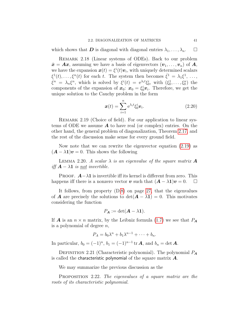<span id="page-40-2"></span>which shows that **D** is diagonal with diagonal entries  $\lambda_1, \ldots, \lambda_n$ .  $\Box$ 

<span id="page-40-0"></span>Remark 2.18 (Linear systems of ODEs). Back to our problem  $\dot{x} = Ax$ , assuming we have a basis of eigenvectors  $(v_1, \ldots, v_n)$  of A, we have the expansion  $\mathbf{x}(t) = \xi^{i}(t)\mathbf{v}_{i}$ , with uniquely determined scalars  $\xi^1(t), \ldots, \xi^n(t)$  for each t. The system then becomes  $\dot{\xi}^1 = \lambda_1 \xi^1, \ldots,$  $\dot{\xi}^n = \lambda_n \xi^n$ , which is solved by  $\xi^i(t) = e^{\lambda_i t} \xi_0^i$ , with  $(\xi_0^1, \ldots, \xi_0^n)$  the components of the expansion of  $x_0: x_0 = \xi_0^i v_i$ . Therefore, we get the unique solution to the Cauchy problem in the form

<span id="page-40-1"></span>
$$
\boldsymbol{x}(t) = \sum_{i=1}^{n} e^{\lambda_i t} \xi_0^i \boldsymbol{v}_i.
$$
 (2.20)

REMARK 2.19 (Choice of field). For our application to linear systems of ODE we assume  $\boldsymbol{A}$  to have real (or complex) entries. On the other hand, the general problem of diagonalization, Theorem [2.17,](#page-39-1) and the rest of the discussion make sense for every ground field.

Now note that we can rewrite the eigenvector equation [\(2.19\)](#page-39-2) as  $(\mathbf{A} - \lambda \mathbf{1})\mathbf{v} = 0$ . This shows the following

LEMMA 2.20. A scalar  $\lambda$  is an eigenvalue of the square matrix  $\boldsymbol{A}$ iff  $A - \lambda 1$  is <u>not</u> invertible.

PROOF.  $A-\lambda 1$  is invertible iff its kernel is different from zero. This happens iff there is a nonzero vector v such that  $(A - \lambda 1)v = 0$ .  $\Box$ 

It follows, from property (D[.8\)](#page-26-0) on page [27,](#page-26-0) that the eigenvalues of **A** are precisely the solutions to  $det(A - \lambda 1) = 0$ . This motivates considering the function

$$
P_{\mathbf{A}} := \det(\mathbf{A} - \lambda \mathbf{1}).
$$

If **A** is an  $n \times n$  matrix, by the Leibniz formula [\(1.7\)](#page-27-1) we see that  $P_A$ is a polynomial of degree  $n$ ,

$$
P_A = b_0 \lambda^n + b_1 \lambda^{n-1} + \cdots + b_n.
$$

In particular,  $b_0 = (-1)^n$ ,  $b_1 = (-1)^{n-1}$  tr **A**, and  $b_n = \det \mathbf{A}$ .

DEFINITION 2.21 (Characteristic polynomial). The polynomial  $P_A$ is called the characteristic polynomial of the square matrix  $\boldsymbol{A}$ .

We may summarize the previous discussion as the

PROPOSITION 2.22. The eigenvalues of a square matrix are the roots of its characteristic polynomial.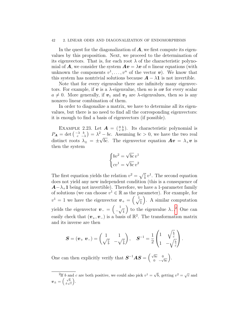### 42 2. LINEAR ODES AND DIAGONALIZATION OF ENDOMORPHISMS

In the quest for the diagonalization of  $\boldsymbol{A}$ , we first compute its eigenvalues by this proposition. Next, we proceed to the determination of its eigenvectors. That is, for each root  $\lambda$  of the characteristic polynomial of **A**, we consider the system  $Av = \lambda v$  of n linear equations (with unknown the components  $v^1, \ldots, v^n$  of the vector  $v$ ). We know that this system has nontrivial solutions because  $A - \lambda 1$  is not invertible.

Note that for every eigenvalue there are infinitely many eigenvectors. For example, if v is a  $\lambda$ -eigenvalue, then so is av for every scalar  $a \neq 0$ . More generally, if  $v_1$  and  $v_2$  are  $\lambda$ -eigenvalues, then so is any nonzero linear combination of them.

In order to diagonalize a matrix, we have to determine all its eigenvalues, but there is no need to find all the corresponding eigenvectors: it is enough to find a basis of eigenvectors (if possible).

EXAMPLE 2.23. Let  $\mathbf{A} = \begin{pmatrix} 0 & b \\ c & 0 \end{pmatrix}$ . Its characteristic polynomial is  $P_{\boldsymbol{A}} = \det \left( \begin{array}{cc} -\lambda & b \\ c & -\lambda \end{array} \right)$  $(\lambda \ b) = \lambda^2 - bc$ . Assuming  $bc > 0$ , we have the two real distinct roots  $\lambda_{\pm} = \pm \sqrt{bc}$ . The eigenvector equation  $Av = \lambda_{+}v$  is then the system

$$
\begin{cases} bv^2 = \sqrt{bc} v^1 \\ cv^1 = \sqrt{bc} v^2 \end{cases}
$$

The first equation yields the relation  $v^2 = \sqrt{\frac{c}{b}} v^1$ . The second equation does not yield any new independent condition (this is a consequence of  $A-\lambda_+1$  being not invertible). Therefore, we have a 1-parameter family of solutions (we can choose  $v^1 \in \mathbb{R}$  as the parameter). For example, for  $v^1 = 1$  we have the eigenvector  $\boldsymbol{v}_+ = \begin{pmatrix} 1 \\ \sqrt{\frac{c}{b}} \end{pmatrix}$  . A similar computation yields the eigenvector  $\mathbf{v}_- = \begin{pmatrix} 1 \\ -\mathbf{v} \end{pmatrix}$  $-\sqrt{\frac{c}{b}}$ ) to the eigenvalue  $\lambda_{-}$ .<sup>[2](#page-41-0)</sup> One can easily check that  $(\mathbf{v}_{+}, \mathbf{v}_{-})$  is a basis of  $\mathbb{R}^2$ . The transformation matrix and its inverse are then

$$
\boldsymbol{S} = (\boldsymbol{v}_+ \hspace{1mm} \boldsymbol{v}_-) = \begin{pmatrix} 1 & 1 \\ \sqrt{\frac{c}{b}} & -\sqrt{\frac{c}{b}} \end{pmatrix}, \quad \boldsymbol{S}^{-1} = \frac{1}{2} \begin{pmatrix} 1 & \sqrt{\frac{b}{c}} \\ 1 & -\sqrt{\frac{b}{c}} \end{pmatrix}.
$$

One can then explicitly verify that  $S^{-1}AS = \begin{pmatrix} \sqrt{bc} & 0 \\ 0 & \sqrt{bc} \end{pmatrix}$  $\sqrt{bc} = 0 \over \sqrt{bc}$ .

<span id="page-41-0"></span> $\overline{P_{2}^{2}$  and c are both positive, we could also pick  $v^{1} = \sqrt{2}$  $\overline{b}$ , getting  $v^2 = \sqrt{c}$  and  $\boldsymbol{v}_{\pm} = \left(\frac{\sqrt{b}}{\pm \sqrt{c}}\right)$  .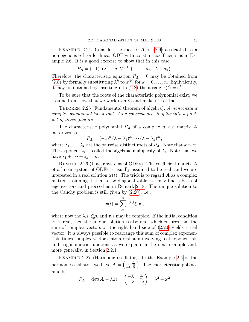<span id="page-42-1"></span>EXAMPLE 2.24. Consider the matrix  $\bf{A}$  of [\(2.9\)](#page-33-2) associated to a homogenous *nth*-order linear ODE with constant coefficients as in Example [2.6.](#page-33-3) It is a good exercise to show that in this case

$$
P_{\mathbf{A}} = (-1)^n (\lambda^n + a_1 \lambda^{n-1} + \dots + a_{n-1} \lambda + a_n).
$$

Therefore, the characteristic equation  $P_A = 0$  may be obtained from [\(2.8\)](#page-33-0) by formally substituting  $\lambda^k$  to  $x^{(k)}$  for  $k = 0, \ldots, n$ . Equivalently, it may be obtained by inserting into [\(2.8\)](#page-33-0) the ansatz  $x(t) = e^{\lambda t}$ .

To be sure that the roots of the characteristic polynomial exist, we assume from now that we work over C and make use of the

THEOREM 2.25 (Fundamental theorem of algebra). A nonconstant complex polynomial has a root. As a consequence, it splits into a product of linear factors.

The characteristic polynomial  $P_A$  of a complex  $n \times n$  matrix  $\boldsymbol{A}$ factorizes as

$$
P_{\mathbf{A}} = (-1)^n (\lambda - \lambda_1)^{s_1} \cdots (\lambda - \lambda_k)^{s_k},
$$

where  $\lambda_1, \ldots, \lambda_k$  are the pairwise distinct roots of  $P_A$ . Note that  $k \leq n$ . The exponent  $s_i$  is called the algebraic multiplicity of  $\lambda_i$ . Note that we have  $s_1 + \cdots + s_k = n$ .

<span id="page-42-0"></span>REMARK 2.26 (Linear systems of ODEs). The coefficient matrix  $\boldsymbol{A}$ of a linear system of ODEs is usually assumed to be real, and we are interested in a real solution  $x(t)$ . The trick is to regard **A** as a complex matrix; assuming it then to be diagonalizable, we may find a basis of eigenvectors and proceed as in Remark [2.18.](#page-40-0) The unique solution to the Cauchy problem is still given by [\(2.20\)](#page-40-1), i.e.,

$$
\boldsymbol{x}(t) = \sum_{i=1}^n e^{\lambda_i t} \xi_0^i \boldsymbol{v}_i,
$$

where now the  $\lambda_i$ s,  $\xi_0^i$ s, and  $\boldsymbol{v}_i$ s may be complex. If the initial condition  $x_0$  is real, then the unique solution is also real, which ensures that the sum of complex vectors on the right hand side of [\(2.20\)](#page-40-1) yields a real vector. It is always possible to rearrange this sum of complex exponentials times complex vectors into a real sum involving real exponentials and trigonometric functions as we explain in the next example and, more generally, in Section [2.2.1.](#page-45-0)

Example 2.27 (Harmonic oscillator). In the Example [2.5](#page-33-1) of the harmonic oscillator, we have  $\boldsymbol{A} = \begin{pmatrix} 0 & \frac{1}{m} \\ -k & 0 \end{pmatrix}$  . The characteristic polynomial is

$$
P_{\mathbf{A}} = \det(\mathbf{A} - \lambda \mathbf{1}) = \begin{pmatrix} -\lambda & \frac{1}{m} \\ -k & -\lambda \end{pmatrix} = \lambda^2 + \omega^2
$$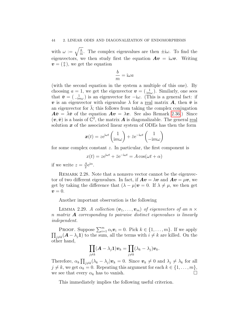with  $\omega := \sqrt{\frac{k}{m}}$  $\frac{k}{m}$ . The complex eigenvalues are then  $\pm i\omega$ . To find the eigenvectors, we then study first the equation  $Av = i\omega v$ . Writing  $\boldsymbol{v} = \left(\begin{smallmatrix} a \\ b \end{smallmatrix}\right)$ , we get the equation

$$
\frac{b}{m} = i\omega a
$$

(with the second equation in the system a multiple of this one). By choosing  $a = 1$ , we get the eigenvector  $\mathbf{v} = \begin{pmatrix} 1 \\ im\omega \end{pmatrix}$ . Similarly, one sees that  $\bar{\boldsymbol{v}} = (\begin{smallmatrix} 1 \\ -im\omega \end{smallmatrix})$  is an eigenvector for  $-i\omega$ . (This is a general fact: if v is an eigenvector with eigenvalue  $\lambda$  for a real matrix **A**, then  $\bar{v}$  is an eigenvector for  $\lambda$ ; this follows from taking the complex conjugation  $A\bar{v} = \bar{\lambda}\bar{v}$  of the equation  $Av = \lambda v$ . See also Remark [2.36.](#page-45-1)) Since  $(v, \bar{v})$  is a basis of  $\mathbb{C}^2$ , the matrix **A** is diagonalizable. The general real solution  $x$  of the associated linear system of ODEs has then the form

$$
\boldsymbol{x}(t) = z e^{i\omega t} \begin{pmatrix} 1 \\ im\omega \end{pmatrix} + \bar{z} e^{-i\omega t} \begin{pmatrix} 1 \\ -im\omega \end{pmatrix}
$$

for some complex constant z. In particular, the first component is

$$
x(t) = ze^{i\omega t} + \bar{z}e^{-i\omega t} = A\cos(\omega t + \alpha)
$$

if we write  $z=\frac{A}{2}$  $rac{A}{2}e^{i\alpha}$ .

REMARK 2.28. Note that a nonzero vector cannot be the eigenvector of two different eigenvalues. In fact, if  $A v = \lambda v$  and  $A v = \mu v$ , we get by taking the difference that  $(\lambda - \mu)\mathbf{v} = 0$ . If  $\lambda \neq \mu$ , we then get  $\boldsymbol{v}=0.$ 

Another important observation is the following

<span id="page-43-0"></span>LEMMA 2.29. A collection  $(\boldsymbol{v}_1, \ldots, \boldsymbol{v}_m)$  of eigenvectors of an  $n \times$ n matrix  $\bf{A}$  corresponding to pairwise distinct eigenvalues is linearly independent.

PROOF. Suppose  $\sum_{i=1}^{m} \alpha_i \boldsymbol{v}_i = 0$ . Pick  $k \in \{1, \ldots, m\}$ . If we apply  $\prod_{j\neq k}(\mathbf{A}-\lambda_j\mathbf{1})$  to the sum, all the terms with  $i\neq k$  are killed. On the other hand,

$$
\prod_{j\neq k}(\boldsymbol{A}-\lambda_j\boldsymbol{1})\boldsymbol{v}_k=\prod_{j\neq k}(\lambda_k-\lambda_j)\boldsymbol{v}_k.
$$

Therefore,  $\alpha_k \prod_{j\neq k} (\lambda_k - \lambda_j) v_k = 0$ . Since  $v_k \neq 0$  and  $\lambda_j \neq \lambda_k$  for all  $j \neq k$ , we get  $\alpha_k = 0$ . Repeating this argument for each  $k \in \{1, \ldots, m\}$ , we see that every  $\alpha_k$  has to vanish.

This immediately implies the following useful criterion.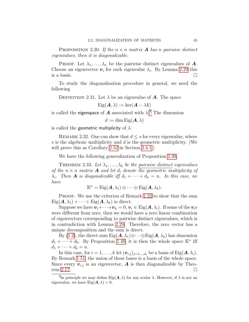<span id="page-44-3"></span><span id="page-44-1"></span>**PROPOSITION** 2.30. If the  $n \times n$  matrix **A** has n pairwise distinct eigenvalues, then it is diagonalizable.

**PROOF.** Let  $\lambda_1, \ldots, \lambda_n$  be the pairwise distinct eigenvalues of **A**. Choose an eigenvector  $v_i$  for each eigenvalue  $\lambda_i$ . By Lemma [2.29](#page-43-0) this is a basis.  $\Box$ 

To study the diagonalization procedure in general, we need the following

DEFINITION 2.31. Let  $\lambda$  be an eigenvalue of **A**. The space

 $Eig(\mathbf{A}, \lambda) := \ker(\mathbf{A} - \lambda \mathbf{1})$ 

is called the eigenspace of  $\boldsymbol{A}$  associated with  $\lambda$ .<sup>[3](#page-44-0)</sup> The dimension

 $d := \dim \mathrm{Eig}(\mathbf{A}, \lambda)$ 

is called the geometric multiplicity of  $\lambda$ .

<span id="page-44-2"></span>REMARK 2.32. One can show that  $d \leq s$  for every eigenvalue, where s is the algebraic multiplicity and d is the geometric multiplicity. (We will prove this as Corollary [2.52](#page-55-1) in Section [2.4.1.](#page-52-0))

We have the following generalization of Proposition [2.30.](#page-44-1)

THEOREM 2.33. Let  $\lambda_1, \ldots, \lambda_k$  be the pairwise distinct eigenvalues of the  $n \times n$  matrix **A** and let  $d_i$  denote the geometric multiplicity of  $\lambda_i$ . Then **A** is diagonalizable iff  $d_1 + \cdots + d_k = n$ . In this case, we have

$$
\mathbb{K}^n = \mathrm{Eig}(\mathbf{A}, \lambda_1) \oplus \cdots \oplus \mathrm{Eig}(\mathbf{A}, \lambda_k).
$$

PROOF. We use the criterion of Remark [1.22](#page-9-1) to show that the sum  $\mathrm{Eig}(\boldsymbol{A}, \lambda_1) + \cdots + \mathrm{Eig}(\boldsymbol{A}, \lambda_k)$  is direct.

Suppose we have  $v_1+\cdots+v_k=0, v_i\in \text{Eig}(A, \lambda_i)$ . If some of the  $v_i$ s were different from zero, then we would have a zero linear combination of eigenvectors corresponding to pairwise distinct eigenvalues, which is in contradiction with Lemma [2.29.](#page-43-0) Therefore, the zero vector has a unique decomposition and the sum is direct.

By [\(1.2\)](#page-17-3), the direct sum  $Eig(\mathbf{A}, \lambda_1) \oplus \cdots \oplus Eig(\mathbf{A}, \lambda_k)$  has dimension  $d_1 + \cdots + d_k$ . By Proposition [1.49,](#page-17-2) it is then the whole space  $\mathbb{K}^n$  iff  $d_1 + \cdots + d_k = n.$ 

In this case, for  $i = 1, ..., k$  let  $(\mathbf{v}_{i,j})_{j=1,...,d_i}$  be a basis of Eig( $\mathbf{A}, \lambda_i$ ). By Remark [1.51,](#page-17-4) the union of these bases is a basis of the whole space. Since every  $v_{i,j}$  is an eigenvector, **A** is then diagonalizable by Theo-rem [2.17.](#page-39-1)  $\Box$ 

<span id="page-44-0"></span><sup>&</sup>lt;sup>3</sup>In principle we may define Eig $(A, \lambda)$  for any scalar  $\lambda$ . However, if  $\lambda$  is not an eigenvalue, we have  $Eig(\mathbf{A}, \lambda) = 0$ .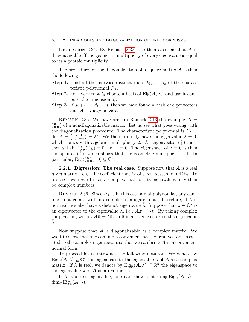### 46 2. LINEAR ODES AND DIAGONALIZATION OF ENDOMORPHISMS

DIGRESSION 2.34. By Remark [2.32,](#page-44-2) one then also has that  $\bm{A}$  is diagonalizable iff the geometric multiplicity of every eigenvalue is equal to its algebraic multiplicity.

The procedure for the diagonalization of a square matrix  $\boldsymbol{A}$  is then the following:

- **Step 1.** Find all the pairwise distinct roots  $\lambda_1, \ldots, \lambda_k$  of the characteristic polynomial  $P_{\mathbf{A}}$ .
- **Step 2.** For every root  $\lambda_i$  choose a basis of Eig( $A, \lambda_i$ ) and use it compute the dimension  $d_i$ .
- **Step 3.** If  $d_1 + \cdots + d_k = n$ , then we have found a basis of eigenvectors and  $\boldsymbol{A}$  is diagonalizable.

REMARK 2.35. We have seen in Remark [2.13](#page-38-1) the example  $\mathbf{A} =$  $\binom{0}{0}\binom{1}{0}$  of a nondiagonalizable matrix. Let us see what goes wrong with the diagonalization procedure. The characteristic polynomial is  $P_A =$  $\det \mathbf{A} = \begin{pmatrix} -\lambda & 1 \\ 0 & -\lambda \end{pmatrix}$  $\begin{pmatrix} -\lambda & 1 \\ 0 & -\lambda \end{pmatrix} = \lambda^2$ . We therefore only have the eigenvalue  $\lambda = 0$ , which comes with algebraic multiplicity 2. An eigenvector  $\binom{a}{b}$  must then satisfy  $\left(\begin{smallmatrix} 0 & 1 \\ 0 & 0 \end{smallmatrix}\right)\left(\begin{smallmatrix} a \\ b \end{smallmatrix}\right) = 0$ , i.e.,  $b = 0$ . The eigenspace of  $\lambda = 0$  is then the span of  $\begin{pmatrix} 1 \\ 0 \end{pmatrix}$ , which shows that the geometric multiplicity is 1. In particular,  $\text{Eig}((\begin{smallmatrix} 0 & 1 \\ 0 & 0 \end{smallmatrix}), 0) \subsetneq \mathbb{C}^2$ .

<span id="page-45-0"></span>**2.2.1. Digression: The real case.** Suppose now that  $\boldsymbol{A}$  is a real  $n \times n$  matrix—e.g., the coefficient matrix of a real system of ODEs. To proceed, we regard it as a complex matrix. Its eigenvalues may then be complex numbers.

<span id="page-45-1"></span>REMARK 2.36. Since  $P_A$  is in this case a real polynomial, any complex root comes with its complex conjugate root. Therefore, if  $\lambda$  is not real, we also have a distinct eigenvalue  $\bar{\lambda}$ . Suppose that  $\mathbf{z} \in \mathbb{C}^n$  is an eigenvector to the eigenvalue  $\lambda$ , i.e.,  $A z = \lambda z$ . By taking complex conjugation, we get  $A\bar{z} = \bar{\lambda}\bar{z}$ , so  $\bar{z}$  is an eigenvector to the eigenvalue  $\overline{\lambda}$ .

Now suppose that  $\boldsymbol{A}$  is diagonalizable as a complex matrix. We want to show that one can find a convenient basis of real vectors associated to the complex eigenvectors so that we can bring  $\boldsymbol{A}$  in a convenient normal form.

To proceed let us introduce the following notation. We denote by  $\text{Eig}_{\mathbb{C}}(\overline{A},\lambda) \subseteq \mathbb{C}^n$  the eigenspace to the eigenvalue  $\lambda$  of  $\overline{A}$  as a complex matrix. If  $\lambda$  is real, we denote by  $\text{Eig}_{\mathbb{R}}(\mathbf{A}, \lambda) \subseteq \mathbb{R}^n$  the eigenspace to the eigenvalue  $\lambda$  of **A** as a real matrix.

If  $\lambda$  is a real eigenvalue, one can show that  $\dim_{\mathbb{R}} \text{Eig}_{\mathbb{R}}(\mathbf{A}, \lambda) =$ dim<sub>C</sub> Eig<sub>C</sub> $(A, \lambda)$ .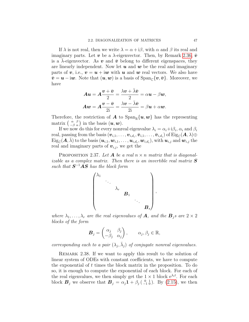If  $\lambda$  is not real, then we write  $\lambda = \alpha + i\beta$ , with  $\alpha$  and  $\beta$  its real and imaginary parts. Let v be a  $\lambda$ -eigenvector. Then, by Remark [2.36,](#page-45-1)  $\bar{v}$ is a  $\lambda$ -eigenvector. As v and  $\bar{v}$  belong to different eigenspaces, they are linearly independent. Now let  $u$  and  $w$  be the real and imaginary parts of v, i.e.,  $v = u + i w$  with u and w real vectors. We also have  $\bar{v} = u - i w$ . Note that  $(u, w)$  is a basis of  $\text{Span}_{\mathbb{C}}\{v, \bar{v}\}\$ . Moreover, we have

$$
Au = A\frac{v + \bar{v}}{2} = \frac{\lambda v + \bar{\lambda}\bar{v}}{2} = \alpha u - \beta w,
$$
  

$$
Aw = A\frac{v - \bar{v}}{2i} = \frac{\lambda v - \bar{\lambda}\bar{v}}{2i} = \beta u + \alpha w.
$$

Therefore, the restriction of **A** to  $\text{Span}_{\mathbb{R}}\{u, w\}$  has the representing matrix  $\begin{pmatrix} \alpha & \beta \\ -\beta & \alpha \end{pmatrix}$  in the basis  $(\boldsymbol{u}, \boldsymbol{w})$ .

If we now do this for every nonreal eigenvalue  $\lambda_i = \alpha_i + i\beta_i$ ,  $\alpha_i$  and  $\beta_i$  ${\rm real, passing\ from\ the\ basis}$   $(\bm{v}_{i,1},\ldots,\bm{v}_{i,d_i},\bar{\bm{v}}_{i,1},\ldots,\bar{\bm{v}}_{i,d_i})$  of  ${\rm Eig}_\mathbb{C}(\bm{A},\lambda)\oplus$  $\text{Eig}_{\mathbb{C}}(\boldsymbol{A},\bar{\lambda})$  to the basis  $(\boldsymbol{u}_{i,1},\boldsymbol{w}_{i,1},\ldots,\boldsymbol{u}_{i,d_i},\boldsymbol{w}_{i,d_i}),$  with  $\boldsymbol{u}_{i,j}$  and  $\boldsymbol{w}_{i,j}$  the real and imaginary parts of  $v_{i,j}$ , we get the

PROPOSITION 2.37. Let **A** be a real  $n \times n$  matrix that is diagonalizable as a complex matrix. Then there is an invertible real matrix  $S$ such that  $S^{-1}AS$  has the block form

$$
\begin{pmatrix}\n\lambda_1 & & & & & \\
& \ddots & & & & \\
& & \lambda_r & & & \\
& & & B_1 & & \\
& & & & \ddots & \\
& & & & & B_s\n\end{pmatrix},
$$

where  $\lambda_1, \ldots, \lambda_r$  are the real eigenvalues of **A**, and the  $\mathbf{B}_i$  are  $2 \times 2$ blocks of the form

$$
\boldsymbol{B}_j = \begin{pmatrix} \alpha_j & \beta_j \\ -\beta_j & \alpha_j \end{pmatrix}, \qquad \alpha_j, \beta_j \in \mathbb{R},
$$

corresponding each to a pair  $(\lambda_j, \bar{\lambda}_j)$  of conjugate nonreal eigenvalues.

REMARK 2.38. If we want to apply this result to the solution of linear system of ODEs with constant coefficients, we have to compute the exponential of  $t$  times the block matrix in the proposition. To do so, it is enough to compute the exponential of each block. For each of the real eigenvalues, we then simply get the  $1 \times 1$  block  $e^{\lambda_i t}$ . For each block  $\mathbf{B}_j$  we observe that  $\mathbf{B}_j = \alpha_j \mathbf{1} + \beta_j \left( \begin{smallmatrix} 0 & 1 \\ -1 & 0 \end{smallmatrix} \right)$ . By [\(2.15\)](#page-36-2), we then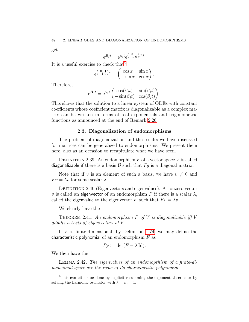<span id="page-47-2"></span>get

$$
e^{\mathbf{B}_j t} = e^{\alpha_j t} e^{\left(\begin{array}{cc} 0 & 1\\ -1 & 0 \end{array}\right)\beta_j t}.
$$

It is a useful exercise to check that  $4$ 

$$
e^{\left(\begin{smallmatrix} 0 & 1 \\ -1 & 0 \end{smallmatrix}\right)x} = \begin{pmatrix} \cos x & \sin x \\ -\sin x & \cos x \end{pmatrix}.
$$

Therefore,

$$
e^{\mathbf{B}_j t} = e^{\alpha_j t} \begin{pmatrix} \cos(\beta_j t) & \sin(\beta_j t) \\ -\sin(\beta_j t) & \cos(\beta_j t) \end{pmatrix}.
$$

This shows that the solution to a linear system of ODEs with constant coefficients whose coefficient matrix is diagonalizable as a complex matrix can be written in terms of real exponentials and trigonometric functions as announced at the end of Remark [2.26.](#page-42-0)

### 2.3. Diagonalization of endomorphisms

<span id="page-47-0"></span>The problem of diagonalization and the results we have discussed for matrices can be generalized to endomorphisms. We present them here, also as an occasion to recapitulate what we have seen.

DEFINITION 2.39. An endomorphism  $F$  of a vector space  $V$  is called diagonalizable if there is a basis  $\mathcal B$  such that  $F_{\mathcal B}$  is a diagonal matrix.

Note that if v is an element of such a basis, we have  $v \neq 0$  and  $F v = \lambda v$  for some scalar  $\lambda$ .

DEFINITION 2.40 (Eigenvectors and eigenvalues). A nonzero vector v is called an eigenvector of an endomorphism F if there is a scalar  $\lambda$ , called the eigenvalue to the eigenvector v, such that  $F v = \lambda v$ .

We clearly have the

THEOREM 2.41. An endomorphism  $F$  of  $V$  is diagonalizable iff  $V$ admits a basis of eigenvectors of F.

If  $V$  is finite-dimensional, by Definition [1.74,](#page-28-2) we may define the characteristic polynomial of an endomorphism  $F$  as

$$
P_F := \det(F - \lambda \operatorname{Id}).
$$

We then have the

Lemma 2.42. The eigenvalues of an endomoprhism of a finite-dimensional space are the roots of its characteristic polynomial.

<span id="page-47-1"></span><sup>&</sup>lt;sup>4</sup>This can either be done by explicit resumming the exponential series or by solving the harmonic oscillator with  $k = m = 1$ .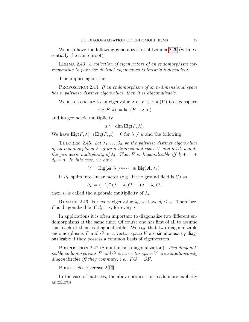<span id="page-48-1"></span>We also have the following generalization of Lemma [2.29](#page-43-0) (with essentially the same proof).

<span id="page-48-0"></span>Lemma 2.43. A collection of eigenvectors of an endomorphism corresponding to pairwise distinct eigenvalues is linearly independent.

This implies again the

PROPOSITION 2.44. If an endomorphism of an n-dimensional space has n pairwise distinct eigenvalues, then it is diagonalizable.

We also associate to an eigenvalue  $\lambda$  of  $F \in End(V)$  its eigenspace

$$
Eig(F, \lambda) := \ker(F - \lambda \operatorname{Id})
$$

and its geometric multiplicity

$$
d := \dim \operatorname{Eig}(F, \lambda).
$$

We have  $\text{Eig}(F, \lambda) \cap \text{Eig}(F, \mu) = 0$  for  $\lambda \neq \mu$  and the following

THEOREM 2.45. Let  $\lambda_1, \ldots, \lambda_k$  be the pairwise distinct eigenvalues of an endomorphism  $F$  of an n-dimensional space  $V$  and let  $d_i$  denote the geometric multiplicity of  $\lambda_i$ . Then F is diagonalizable iff  $d_1 + \cdots +$  $d_k = n$ . In this case, we have

$$
V = \mathrm{Eig}(\boldsymbol{A}, \lambda_1) \oplus \cdots \oplus \mathrm{Eig}(\boldsymbol{A}, \lambda_k).
$$

If  $P_F$  splits into linear factor (e.g., if the ground field is  $\mathbb{C}$ ) as

$$
P_F = (-1)^n (\lambda - \lambda_1)^{s_1} \cdots (\lambda - \lambda_k)^{s_k},
$$

then  $s_i$  is called the algebraic multiplicity of  $\lambda_i$ .

REMARK 2.46. For every eigenvalue  $\lambda_i$ , we have  $d_i \leq s_i$ . Therefore, F is diagonalizable iff  $d_i = s_i$  for every i.

In applications it is often important to diagonalize two different endomorphisms at the same time. Of course one has first of all to assume that each of them is diagonalizable. We say that two diagonalizable endomorphisms  $F$  and  $G$  on a vector space  $V$  are simultaneously diagonalizable if they possess a common basis of eigenvectors.

PROPOSITION 2.47 (Simultaneous diagonalization). Two diagonal*izable endomorphisms*  $F$  and  $G$  on a vector space  $V$  are simultaneously diagonalizable iff they commute, i.e.,  $FG = GF$ .

PROOF. See Exercise 2[.10](#page-60-0)

In the case of matrices, the above proposition reads more explictly as follows.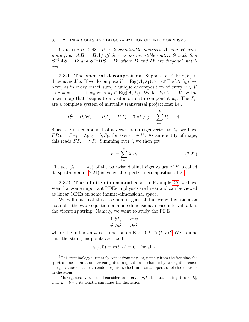### <span id="page-49-5"></span>50 2. LINEAR ODES AND DIAGONALIZATION OF ENDOMORPHISMS

COROLLARY 2.48. Two diagonalizable matrices  $\bm{A}$  and  $\bm{B}$  commute (i.e.,  $\mathbf{AB} = \mathbf{BA}$ ) iff there is an invertible matrix **S** such that  $S^{-1}AS = D$  and  $S^{-1}BS = D'$  where  $D$  and  $D'$  are diagonal matrices.

<span id="page-49-0"></span>**2.3.1.** The spectral decomposition. Suppose  $F \in End(V)$  is diagonalizable. If we decompose  $V = \text{Eig}(A, \lambda_1) \oplus \cdots \oplus \text{Eig}(A, \lambda_k)$ , we have, as in every direct sum, a unique decomposition of every  $v \in V$ as  $v = w_1 + \cdots + w_k$  with  $w_i \in \text{Eig}(A, \lambda_i)$ . We let  $P_i : V \to V$  be the linear map that assigns to a vector v its *i*th component  $w_i$ . The  $P_i$ s are a complete system of mutually transversal projections; i.e.,

$$
P_i^2 = P_i \,\forall i, \qquad P_i P_j = P_j P_i = 0 \,\forall i \neq j, \quad \sum_{i=1}^k P_i = \text{Id}.
$$

Since the *i*th component of a vector is an eigenvector to  $\lambda_i$ , we have  $FP_i v = F w_i = \lambda_i w_i = \lambda_i P_i v$  for every  $v \in V$ . As an identity of maps, this reads  $FP_i = \lambda_i P_i$ . Summing over *i*, we then get

<span id="page-49-2"></span>
$$
F = \sum_{i=1}^{k} \lambda_i P_i.
$$
 (2.21)

The set  $\{\lambda_1, \ldots, \lambda_k\}$  of the pairwise distinct eigenvalues of F is called its spectrum and  $(2.21)$  is called the spectral decomposition of  $F$ .<sup>[5](#page-49-3)</sup>

<span id="page-49-1"></span>**2.3.2.** The infinite-dimensional case. In Example [2.7,](#page-33-4) we have seen that some important PDEs in physics are linear and can be viewed as linear ODEs on some infinite-dimensional space.

We will not treat this case here in general, but we will consider an example: the wave equation on a one-dimensional space interval, a.k.a. the vibrating string. Namely, we want to study the PDE

$$
\frac{1}{c^2} \frac{\partial^2 \psi}{\partial t^2} = \frac{\partial^2 \psi}{\partial x^2},
$$

where the unknown  $\psi$  is a function on  $\mathbb{R} \times [0, L] \ni (t, x)$ .<sup>[6](#page-49-4)</sup> We assume that the string endpoints are fixed:

$$
\psi(t,0) = \psi(t,L) = 0 \quad \text{for all } t
$$

<span id="page-49-3"></span><sup>5</sup>This terminology ultimately comes from physics, namely from the fact that the spectral lines of an atom are computed in quantum mechanics by taking differences of eigenvalues of a certain endomorphism, the Hamiltonian operator of the electrons in the atom.

<span id="page-49-4"></span><sup>&</sup>lt;sup>6</sup>More generally, we could consider an interval [a, b], but translating it to [0, L], with  $L = b - a$  its length, simplifies the discussion.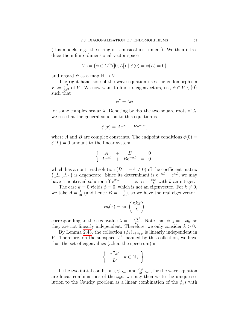(this models, e.g., the string of a musical instrument). We then introduce the infinite-dimensional vector space

$$
V:=\{\phi\in C^\infty([0,L])\ |\ \phi(0)=\phi(L)=0\}
$$

and regard  $\psi$  as a map  $\mathbb{R} \to V$ .

The right hand side of the wave equation uses the endomorphism  $F := \frac{d^2}{dx^2}$  of V. We now want to find its eigenvectors, i.e.,  $\phi \in V \setminus \{0\}$ such that

$$
\phi'' = \lambda \phi
$$

for some complex scalar  $\lambda$ . Denoting by  $\pm \alpha$  the two square roots of  $\lambda$ , we see that the general solution to this equation is

$$
\phi(x) = A e^{\alpha x} + B e^{-\alpha x},
$$

where A and B are complex constants. The endpoint conditions  $\phi(0)$  =  $\phi(L) = 0$  amount to the linear system

$$
\begin{cases}\nA + B = 0 \\
Ae^{\alpha L} + Be^{-\alpha L} = 0\n\end{cases}
$$

which has a nontrivial solution  $(B = -A \neq 0)$  iff the coefficient matrix  $\begin{pmatrix} 1 & 1 \\ 2\alpha L & 1 \end{pmatrix}$  $e^{\alpha L} e^{-\alpha L}$  is degenerate. Since its determinant is  $e^{-\alpha L} - e^{\alpha L}$ , we may have a nontrivial solution iff  $e^{2\alpha L} = 1$ , i.e.,  $\alpha = \frac{i\pi k}{L}$  with k an integer.

The case  $k = 0$  yields  $\phi = 0$ , which is not an eigenvector. For  $k \neq 0$ , we take  $A = \frac{1}{2i}$  (and hence  $B = -\frac{1}{2i}$ ), so we have the real eigenvector

$$
\phi_k(x) = \sin\left(\frac{\pi k x}{L}\right)
$$

corresponding to the eigenvalue  $\lambda = -\frac{\pi^2 k^2}{L^2}$  $\frac{L^2 k^2}{L^2}$ . Note that  $\phi_{-k} = -\phi_k$ , so they are not linearly independent. Therefore, we only consider  $k > 0$ .

By Lemma [2.43,](#page-48-0) the collection  $(\phi_k)_{k \in \mathbb{Z}_{>0}}$  is linearly independent in V. Therefore, on the subspace  $V'$  spanned by this collection, we have that the set of eigenvalues (a.k.a. the spectrum) is

$$
\left\{-\frac{\pi^2 k^2}{L^2}, \ k \in \mathbb{N}_{>0}\right\}.
$$

If the two initial conditions,  $\psi|_{t=0}$  and  $\frac{\partial \psi}{\partial t}|_{t=0}$ , for the wave equation are linear combinations of the  $\phi_k$ s, we may then write the unique solution to the Cauchy problem as a linear combination of the  $\phi_k$ s with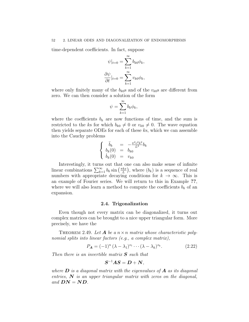time-dependent coefficients. In fact, suppose

$$
\psi|_{t=0} = \sum_{k=1}^{\infty} b_{k0} \phi_k,
$$

$$
\frac{\partial \psi}{\partial t}|_{t=0} = \sum_{k=1}^{\infty} v_{k0} \phi_k,
$$

where only finitely many of the  $b_{k0}$ s and of the  $v_{k0}$ s are different from zero. We can then consider a solution of the form

$$
\psi = \sum_{k=1}^{\infty} b_k \phi_k,
$$

where the coefficients  $b_k$  are now functions of time, and the sum is restricted to the ks for which  $b_{k0} \neq 0$  or  $v_{k0} \neq 0$ . The wave equation then yields separate ODEs for each of these ks, which we can assemble into the Cauchy problems

$$
\begin{cases}\n\ddot{b}_k = -\frac{\pi^2 c^2 k^2}{L^2} b_k \\
b_k(0) = b_{k0} \\
\dot{b}_k(0) = v_{k0}\n\end{cases}
$$

Interestingly, it turns out that one can also make sense of infinite linear combinations  $\sum_{k=1}^{\infty} b_k \sin\left(\frac{\pi kx}{L}\right)$  $\frac{kx}{L}$ , where  $(b_k)$  is a sequence of real numbers with appropriate decaying conditions for  $k \to \infty$ . This is an example of Fourier series. We will return to this in Example ??, where we will also learn a method to compute the coefficients  $b_k$  of an expansion.

### 2.4. Trigonalization

<span id="page-51-0"></span>Even though not every matrix can be diagonalized, it turns out complex matrices can be brought to a nice upper triangular form. More precisely, we have the

<span id="page-51-1"></span>THEOREM 2.49. Let **A** be a  $n \times n$  matrix whose characteristic polynomial splits into linear factors (e.g., a complex matrix),

<span id="page-51-2"></span>
$$
P_{\mathbf{A}} = (-1)^{n} \left(\lambda - \lambda_{1}\right)^{s_{1}} \cdots \left(\lambda - \lambda_{k}\right)^{s_{k}}.
$$
\n(2.22)

Then there is an invertible matrix  $S$  such that

$$
\boldsymbol{S}^{-1}\boldsymbol{A}\boldsymbol{S} = \boldsymbol{D} + \boldsymbol{N},
$$

where  $\bf{D}$  is a diagonal matrix with the eigenvalues of  $\bf{A}$  as its diagonal entries,  $N$  is an upper triangular matrix with zeros on the diagonal, and  $DN = ND$ .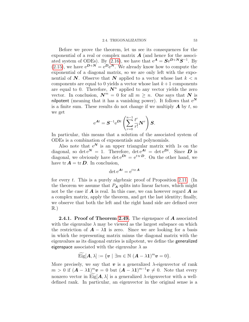### 2.4. TRIGONALIZATION 53

<span id="page-52-1"></span>Before we prove the theorem, let us see its consequences for the exponential of a real or complex matrix  $A$  (and hence for the associ-ated system of ODEs). By [\(2.16\)](#page-36-3), we have that  $e^A = S e^{D+N} S^{-1}$ . By  $(2.15)$ , we have  $e^{D+N} = e^D e^N$ . We already know how to compute the exponential of a diagonal matrix, so we are only left with the exponential of N. Observe that N applied to a vector whose last  $k < n$ components are equal to 0 yields a vector whose last  $k+1$  components are equal to 0. Therefore,  $\mathbf{N}^n$  applied to any vector yields the zero vector. In conclusion,  $\mathbf{N}^m = 0$  for all  $m \geq n$ . One says that N is nilpotent (meaning that it has a vanishing power). It follows that  $e^N$ is a finite sum. These results do not change if we multiply  $\boldsymbol{A}$  by  $t$ , so we get

$$
e^{\mathbf{A}t} = \mathbf{S}^{-1}e^{\mathbf{D}t} \left( \sum_{r=0}^{n-1} \frac{t^r}{r!} \mathbf{N}^r \right) \mathbf{S}.
$$

In particular, this means that a solution of the associated system of ODEs is a combination of exponentials and polynomials.

Also note that  $e^N$  is an upper triangular matrix with 1s on the diagonal, so det  $e^N = 1$ . Therefore, det  $e^{At} = det e^{Dt}$ . Since **D** is diagonal, we obviously have det  $e^{Dt} = e^{t \text{tr} D}$ . On the other hand, we have  $tr \mathbf{A} = tr \mathbf{D}$ . In conclusion,

$$
\det e^{\mathbf{A}t} = e^{t \operatorname{tr} \mathbf{A}}
$$

for every t. This is a purely algebraic proof of Proposition [2.11.](#page-37-0) (In the theorem we assume that  $P_A$  splits into linear factors, which might not be the case if  $\boldsymbol{A}$  is real. In this case, we can however regard  $\boldsymbol{A}$  as a complex matrix, apply the theorem, and get the last identity; finally, we observe that both the left and the right hand side are defined over  $\mathbb{R}$ .)

<span id="page-52-0"></span>**2.4.1. Proof of Theorem [2.49.](#page-51-1)** The eigenspace of  $A$  associated with the eigenvalue  $\lambda$  may be viewed as the largest subspace on which the restriction of  $\mathbf{A} - \lambda \mathbf{1}$  is zero. Since we are looking for a basis in which the representing matrix minus the diagonal matrix with the eigenvalues as its diagonal entries is nilpotent, we define the generalized eigenspace associated with the eigenvalue  $\lambda$  as

$$
\widetilde{\mathrm{Eig}}[\mathbf{A},\lambda]:=\{\mathbf{v}\mid \exists m\in\mathbb{N}\;(\mathbf{A}-\lambda\mathbf{1})^m\mathbf{v}=0\}.
$$

More precisely, we say that  $v$  is a generalized  $\lambda$ -eigenvector of rank  $m > 0$  if  $(A - \lambda 1)^m v = 0$  but  $(A - \lambda 1)^{m-1} v \neq 0$ . Note that every nonzero vector in Eig[ $\mathbf{A}, \lambda$ ] is a generalized  $\lambda$ -eigenvector with a welldefined rank. In particular, an eigenvector in the original sense is a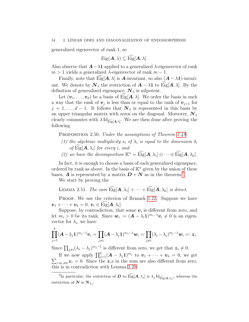generalized eigenvector of rank 1, so

$$
Eig(\mathbf{A},\lambda)\subseteq Eig[\mathbf{A},\lambda].
$$

Also observe that  $\mathbf{A}-\lambda \mathbf{1}$  applied to a generalized  $\lambda$ -eigenvector of rank  $m > 1$  yields a generalized  $\lambda$ -eigenvector of rank  $m - 1$ .

Finally, note that Eig[ $A$ ,  $\lambda$ ] is  $A$ -invariant, so also  $(A - \lambda 1)$ -invariant. We denote by  $N_{\lambda}$  the restriction of  $A - \lambda \mathbf{1}$  to Eig[ $A, \lambda$ ]. By the definition of generalized eigenspace,  $\mathbf{N}_{\lambda}$  is nilpotent.

Let  $(\boldsymbol{v}_1, \ldots, \boldsymbol{v}_d)$  be a basis of Eig[ $\boldsymbol{A}, \lambda$ ]. We order the basis in such a way that the rank of  $v_j$  is less than or equal to the rank of  $v_{j+1}$  for  $j = 1, \ldots, d - 1$ . It follows that  $N_{\lambda}$  is represented in this basis by an upper triangular matrix with zeros on the diagonal. Moreover,  $N_{\lambda}$ clearly commutes with  $\lambda \operatorname{Id}_{\widetilde{\mathrm{Eig}}[A,\lambda]}$ . We are then done after proving the following

<span id="page-53-1"></span>PROPOSITION 2.50. Under the assumptions of Theorem [2.49:](#page-51-1)

- (1) the algebraic multiplicity  $s_i$  of  $\lambda_i$  is equal to the dimension  $\delta_i$ of  $\mathrm{Eig}[\mathbf{A}, \lambda_i]$  for every i, and
- (2) we have the decomposition  $\mathbb{K}^n = \widetilde{\mathrm{Eig}}[\mathbf{A}, \lambda_1] \oplus \cdots \oplus \widetilde{\mathrm{Eig}}[\mathbf{A}, \lambda_k].$

In fact, it is enough to choose a basis of each generalized eigenspace, ordered by rank as above. In the basis of  $\mathbb{K}^n$  given by the union of these bases, **A** is represented by a matrix  $D + N$  as in the theorem.<sup>[7](#page-53-0)</sup>

We start by proving the

<span id="page-53-2"></span>LEMMA 2.51. The sum 
$$
\widetilde{\text{Eig}}[\mathbf{A}, \lambda_1] + \cdots + \widetilde{\text{Eig}}[\mathbf{A}, \lambda_k]
$$
 is direct.

PROOF. We use the criterion of Remark [1.22.](#page-9-1) Suppose we have  $\boldsymbol{v}_1 + \cdots + \boldsymbol{v}_k = 0, \, \boldsymbol{v}_i \in \mathrm{Eig}[\boldsymbol{A}, \lambda_i].$ 

Suppose, by contradiction, that some  $v_i$  is different from zero, and let  $m_i > 0$  be its rank. Since  $\mathbf{w}_i := (\mathbf{A} - \lambda_i \mathbf{1})^{m_i - 1} \mathbf{v}_i \neq 0$  is an eigenvector for  $\lambda_i$ , we have

$$
\prod_{j=1}^k (\mathbf{A} - \lambda_j \mathbf{1})^{m_j - 1} \mathbf{v}_i = \prod_{j \neq i} (\mathbf{A} - \lambda_j \mathbf{1})^{m_j - 1} \mathbf{w}_i = \prod_{j \neq i} (\lambda_i - \lambda_j)^{m_j - 1} \mathbf{w}_i =: \mathbf{z}_i.
$$

Since  $\prod_{j\neq i}(\lambda_i-\lambda_j)^{m_j-1}$  is different from zero, we get that  $\mathbf{z}_i\neq 0$ .

If we now apply  $\prod_{j=1}^k (A - \lambda_j 1)^{m_j}$  to  $\boldsymbol{v}_1 + \cdots + \boldsymbol{v}_k = 0$ , we get  $\sum_{r:\mathbf{v}_r\neq 0} \mathbf{z}_r = 0$ . Since the  $\mathbf{z}_r$ s in the sum are also different from zero, this is in contradiction with Lemma [2.29.](#page-43-0)

<span id="page-53-0"></span><sup>&</sup>lt;sup>7</sup>In particular, the restriction of  $D$  to  $\widetilde{\text{Eig}}[A, \lambda_j]$  is  $\lambda_j \text{Id}_{\widetilde{\text{Eig}}[A, \lambda_j]}$ , whereas the restriction of  $N$  is  $N_{\lambda_j}$ .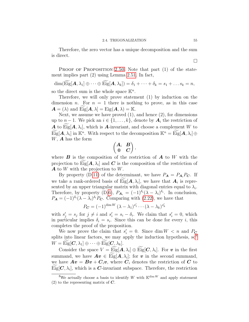Therefore, the zero vector has a unique decomposition and the sum is direct.

PROOF OF PROPOSITION [2.50.](#page-53-1) Note that part (1) of the statement implies part (2) using Lemma [2.51.](#page-53-2) In fact,

 $\dim(\widetilde{\mathrm{Eig}}[\mathbf{A}, \lambda_1] \oplus \cdots \oplus \widetilde{\mathrm{Eig}}[\mathbf{A}, \lambda_k]) = \delta_1 + \cdots + \delta_k = s_1 + \ldots s_k = n,$ so the direct sum is the whole space  $\mathbb{K}^n$ .

Therefore, we will only prove statement (1) by induction on the dimension *n*. For  $n = 1$  there is nothing to prove, as in this case  $\mathbf{A} = (\lambda)$  and  $\text{Eig}[\mathbf{A}, \lambda] = \text{Eig}(\mathbf{A}, \lambda) = \mathbb{K}.$ 

Next, we assume we have proved  $(1)$ , and hence  $(2)$ , for dimensions up to  $n-1$ . We pick an  $i \in \{1, ..., k\}$ , denote by  $A_i$  the restriction of **A** to Eig[ $\mathbf{A}$ ,  $\lambda_i$ ], which is  $\mathbf{A}$ -invariant, and choose a complement W to  $\widetilde{\mathrm{Eig}}[\mathbf{A}, \lambda_i]$  in  $\mathbb{K}^n$ . With respect to the decomposition  $\mathbb{K}^n = \widetilde{\mathrm{Eig}}[\mathbf{A}, \lambda_i] \oplus$  $W$ ,  $\boldsymbol{A}$  has the form

$$
\begin{pmatrix} A_i & B \\ 0 & C \end{pmatrix},
$$

where  $\bm{B}$  is the composition of the restriction of  $\bm{A}$  to W with the projection to Eig $[\boldsymbol{A}, \lambda_i]$  and  $\boldsymbol{C}$  is the composition of the restriction of  $\boldsymbol{A}$  to  $W$  with the projection to  $W$ .

By property (D[.11\)](#page-27-2) of the determinant, we have  $P_A = P_{A_i} P_C$ . If we take a rank-ordered basis of Eig $[\boldsymbol{A}, \lambda_i]$ , we have that  $\boldsymbol{A}_i$  is represented by an upper triangular matrix with diagonal entries equal to  $\lambda_i$ . Therefore, by property (D[.6\)](#page-26-2),  $P_{A_i} = (-1)^{\delta_i} (\lambda - \lambda_i)^{\delta_i}$ . In conclusion,  $P_{\mathbf{A}} = (-1)^{\delta_i} (\lambda - \lambda_i)^{\delta_i} P_{\mathbf{C}}$ . Comparing with [\(2.22\)](#page-51-2), we have that

 $P_{\boldsymbol{C}} = (-1)^{\dim W}\,(\lambda-\lambda_1)^{s_1^\prime}\cdots (\lambda-\lambda_k)^{s_k^\prime}$ 

with  $s'_j = s_j$  for  $j \neq i$  and  $s'_i = s_i - \delta_i$ . We claim that  $s'_i = 0$ , which in particular implies  $\delta_i = s_i$ . Since this can be done for every i, this completes the proof of the proposition.

We now prove the claim that  $s_i' = 0$ . Since dim  $W < n$  and  $P_C$ splits into linear factors, we may apply the induction hypothesis,  ${so}^{8}$  ${so}^{8}$  ${so}^{8}$  $W = \text{Eig}[\boldsymbol{C}, \lambda_1] \oplus \cdots \oplus \text{Eig}[\boldsymbol{C}, \lambda_k].$ 

Consider the space  $V = \text{Eig}[A, \lambda_i] \oplus \text{Eig}[C, \lambda_i]$ . For v in the first summand, we have  $A v \in$  Eig $[A, \lambda_i]$ ; for v in the second summand, we have  $Av = Bv + C_i v$ , where  $C_i$  denotes the restriction of C to  $Eig[\mathbf{C}, \lambda_i]$ , which is a  $\mathbf{C}$ -invariant subspace. Therefore, the restriction

 $\Box$ 

<span id="page-54-0"></span><sup>&</sup>lt;sup>8</sup>We actually choose a basis to identify W with  $\mathbb{K}^{\dim W}$  and apply statement  $(2)$  to the representing matrix of C.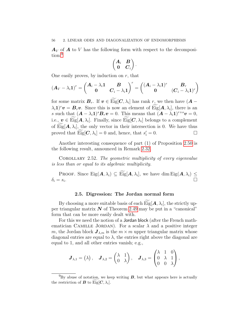<span id="page-55-3"></span> $A_V$  of A to V has the following form with respect to the decomposition:[9](#page-55-2)

$$
\begin{pmatrix} A_i & B \\ 0 & C_i \end{pmatrix}.
$$

One easily proves, by induction on  $r$ , that

$$
\left(\boldsymbol{A}_{V}-\lambda_{i}\boldsymbol{1}\right)^{r}=\begin{pmatrix}\boldsymbol{A}_{i}-\lambda_{i}\boldsymbol{1} & \boldsymbol{B} \\ \boldsymbol{0} & \boldsymbol{C}_{i}-\lambda_{i}\boldsymbol{1}\end{pmatrix}^{r}=\begin{pmatrix}\left(\boldsymbol{A}_{i}-\lambda_{i}\boldsymbol{1}\right)^{r} & \boldsymbol{B}_{r} \\ \boldsymbol{0} & \left(\boldsymbol{C}_{i}-\lambda_{i}\boldsymbol{1}\right)^{r}\end{pmatrix}
$$

for some matrix  $B_r$ . If  $v \in \text{Eig}[C, \lambda_i]$  has rank r, we then have  $(A (\lambda_i \mathbf{1})^r \mathbf{v} = \mathbf{B}_r \mathbf{v}$ . Since this is now an element of Eig $[\mathbf{A}, \lambda_i]$ , there is an s such that  $(\mathbf{A} - \lambda_i \mathbf{1})^s \mathbf{B}_r \mathbf{v} = 0$ . This means that  $(\mathbf{A} - \lambda_i \mathbf{1})^{r+s} \mathbf{v} = 0$ , i.e.,  $v \in$  Eig[ $A, \lambda_i$ ]. Finally, since Eig[ $C, \lambda_i$ ] belongs to a complement of Eig[ $\mathbf{A}, \lambda_i$ ], the only vector in their intersection is 0. We have thus proved that  $\widetilde{\mathrm{Eig}}[\mathbf{C}, \lambda_i] = 0$  and, hence, that  $s_i' = 0$ .

Another interesting consequence of part (1) of Proposition [2.50](#page-53-1) is the following result, announced in Remark [2.32.](#page-44-2)

<span id="page-55-1"></span>COROLLARY 2.52. The geometric multiplicity of every eigenvalue is less than or equal to its algebraic multiplicity.

PROOF. Since  $\text{Eig}(A, \lambda_i) \subseteq \widetilde{\text{Eig}}[A, \lambda_i]$ , we have dim  $\text{Eig}(A, \lambda_i) \leq$  $\delta_i = s_i.$  $\mathcal{L}$ .

### 2.5. Digression: The Jordan normal form

<span id="page-55-0"></span>By choosing a more suitable basis of each  $\text{Eig}[A, \lambda_i]$ , the strictly upper triangular matrix  $N$  of Theorem [2.49](#page-51-1) may be put in a "canonical" form that can be more easily dealt with.

For this we need the notion of a Jordan block (after the French mathematician CAMILLE JORDAN). For a scalar  $\lambda$  and a positive integer m, the Jordan block  $J_{\lambda,m}$  is the  $m \times m$  upper triangular matrix whose diagonal entries are equal to  $\lambda$ , the entries right above the diagonal are equal to 1, and all other entries vanish; e.g.,

$$
\boldsymbol{J}_{\lambda,1} = \begin{pmatrix} \lambda \end{pmatrix}, \quad \boldsymbol{J}_{\lambda,2} = \begin{pmatrix} \lambda & 1 \\ 0 & \lambda \end{pmatrix}, \quad \boldsymbol{J}_{\lambda,3} = \begin{pmatrix} \lambda & 1 & 0 \\ 0 & \lambda & 1 \\ 0 & 0 & \lambda \end{pmatrix},
$$

<span id="page-55-2"></span> $^{9}$ By abuse of notation, we keep writing **B**, but what appears here is actually the restriction of  $\boldsymbol{B}$  to  $\text{Eig}[\boldsymbol{C}, \lambda_i].$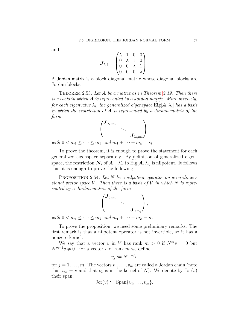<span id="page-56-1"></span>and

$$
\boldsymbol{J}_{\lambda,4} = \begin{pmatrix} \lambda & 1 & 0 & 0 \\ 0 & \lambda & 1 & 0 \\ 0 & 0 & \lambda & 1 \\ 0 & 0 & 0 & \lambda \end{pmatrix}.
$$

A Jordan matrix is a block diagonal matrix whose diagonal blocks are Jordan blocks.

THEOREM 2.53. Let  $A$  be a matrix as in Theorem [2.49.](#page-51-1) Then there is a basis in which  $\boldsymbol{A}$  is represented by a Jordan matrix. More precisely, for each eigenvalue  $\lambda_i$ , the generalized eigenspace Eig $[\mathbf{A}, \lambda_i]$  has a basis in which the restriction of  $\bf{A}$  is represented by a Jordan matrix of the form



with  $0 < m_1 \leq \cdots \leq m_k$  and  $m_1 + \cdots + m_k = s$ .

To prove the theorem, it is enough to prove the statement for each generalized eigenspace separately. By definition of generalized eigenspace, the restriction  $N_i$  of  $A - \lambda \mathbf{1}$  to Eig[ $A, \lambda_i$ ] is nilpotent. It follows that it is enough to prove the following

<span id="page-56-0"></span>**PROPOSITION** 2.54. Let N be a nilpotent operator on an n-dimensional vector space V. Then there is a basis of V in which N is represented by a Jordan matrix of the form

$$
\begin{pmatrix} \boldsymbol{J}_{0,m_1} & & \\ & \ddots & \\ & & \boldsymbol{J}_{0,m_k} \end{pmatrix},
$$

with  $0 < m_1 < \cdots < m_k$  and  $m_1 + \cdots + m_k = n$ .

To prove the proposition, we need some preliminary remarks. The first remark is that a nilpotent operator is not invertible, so it has a nonzero kernel.

We say that a vector v in V has rank  $m > 0$  if  $N^m v = 0$  but  $N^{m-1}v \neq 0$ . For a vector v of rank m we define

$$
v_j := N^{m-j}v
$$

for  $j = 1, \ldots, m$ . The vectors  $v_1, \ldots, v_m$  are called a Jordan chain (note that  $v_m = v$  and that  $v_1$  is in the kernel of N). We denote by  $Jor(v)$ their span:

$$
Jor(v) := Span{v_1, \ldots, v_m}.
$$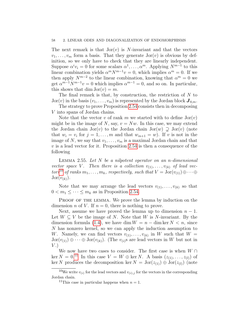### 58 2. LINEAR ODES AND DIAGONALIZATION OF ENDOMORPHISMS

The next remark is that  $Jor(v)$  is N-invariant and that the vectors  $v_1, \ldots, v_m$  form a basis. That they generate  $Jor(v)$  is obvious by definition, so we only have to check that they are linearly independent. Suppose  $\alpha^i v_i = 0$  for some scalars  $\alpha^1, \ldots, \alpha^m$ . Applying  $N^{m-1}$  to this linear combination yields  $\alpha^m N^{m-1} v = 0$ , which implies  $\alpha^m = 0$ . If we then apply  $N^{m-2}$  to the linear combination, knowing that  $\alpha^m = 0$  we get  $\alpha^{m-1}N^{m-1}v = 0$  which implies  $\alpha^{m-1} = 0$ , and so on. In particular, this shows that dim  $Jor(v) = m$ .

The final remark is that, by construction, the restriction of N to  $Jor(v)$  in the basis  $(v_1, \ldots, v_m)$  is represented by the Jordan block  $J_{0,m}$ .

The strategy to prove Proposition [2.54](#page-56-0) consists then in decomposing V into spans of Jordan chains.

Note that the vector v of rank m we started with to define  $Jor(v)$ might be in the image of N, say,  $v = Nw$ . In this case, we may extend the Jordan chain Jor(v) to the Jordan chain Jor(w)  $\supseteq$  Jor(v) (note that  $w_i = v_i$  for  $j = 1, ..., m$  and that  $w_{m+1} = w$ ). If v is not in the image of N, we say that  $v_1, \ldots, v_m$  is a maximal Jordan chain and that  $v$  is a lead vector for it. Proposition [2.54](#page-56-0) is then a consequence of the following

LEMMA 2.55. Let  $N$  be a nilpotent operator on an n-dimensional vector space V. Then there is a collection  $v_{(1)}, \ldots, v_{(k)}$  of lead vec-tors<sup>[10](#page-57-0)</sup> of ranks  $m_1, \ldots, m_k$ , respectively, such that  $V = \text{Jor}(v_{(1)}) \oplus \cdots \oplus v_{(k)}$  $Jor(v_{(k)})$ .

Note that we may arrange the lead vectors  $v_{(1)}, \ldots, v_{(k)}$  so that  $0 < m_1 \leq \cdots \leq m_k$  as in Proposition [2.54.](#page-56-0)

PROOF OF THE LEMMA. We prove the lemma by induction on the dimension n of V. If  $n = 0$ , there is nothing to prove.

Next, assume we have proved the lemma up to dimension  $n-1$ . Let  $W \subseteq V$  be the image of N. Note that W is N-invariant. By the dimension formula [\(1.4\)](#page-21-1), we have dim  $W = n - \dim \ker N < n$ , since N has nonzero kernel, so we can apply the induction assumption to W. Namely, we can find vectors  $v_{(1)}, \ldots, v_{(k)}$  in W such that  $W =$  $Jor(v_{(1)})\oplus\cdots\oplus Jor(v_{(k)})$ . (The  $v_{(i)}$ s are lead vectors in W but not in  $V.$ 

We now have two cases to consider. The first case is when  $W \cap$ ker  $N = 0$ .<sup>[11](#page-57-1)</sup> In this case  $V = W \oplus \text{ker } N$ . A basis  $(z_{(1)}, \ldots, z_{(l)})$  of ker N produces the decomposition ker  $N = \text{Jor}(z_{(1)}) \oplus \text{Jor}(z_{(l)})$  (note

<span id="page-57-0"></span><sup>&</sup>lt;sup>10</sup>We write  $v_{(i)}$  for the lead vectors and  $v_{(i),j}$  for the vectors in the corresponding Jordan chain.

<span id="page-57-1"></span><sup>&</sup>lt;sup>11</sup>This case in particular happens when  $n = 1$ .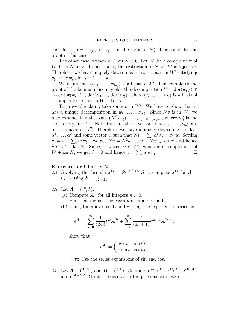that  $Jor(z_{(i)}) = \mathbb{K}z_{(i)}$ , for  $z_{(i)}$  is in the kernel of N). This concludes the proof in this case.

The other case is when  $W \cap \text{ker } N \neq 0$ . Let W' be a complement of  $W + \text{ker } N$  in V. In particular, the restriction of N to W' is injective. Therefore, we have uniquely determined  $w_{(1)}, \ldots, w_{(k)}$  in W' satisfying  $v_{(i)} = N w_{(i)}$  for  $i = 1, ..., k$ .

We claim that  $(w_{(1)}, \ldots, w_{(k)})$  is a basis of W'. This completes the proof of the lemma, since it yields the decomposition  $V = \text{Jor}(w_{(1)}) \oplus$  $\cdots \oplus \mathrm{Jor}(w_{(k)}) \oplus \mathrm{Jor}(z_{(1)}) \oplus \mathrm{Jor}(z_{(l)}),$  where  $(z_{(1)}, \ldots, z_{(l)})$  is a basis of a complement of W in  $W$  + ker N.

To prove the claim, take some  $v$  in  $W'$ . We have to show that it has a unique decomposition in  $w_{(1)}, \ldots, w_{(k)}$ . Since Nv is in W, we may expand it in the basis  $(N^{j_i}v_{(i)})_{i=1,\dots,k, j_i=0,\dots,m'_i-1}$ , where  $m'_i$  is the rank of  $v_{(i)}$  in W. Note that all these vectors but  $v_{(1)}, \ldots, v_{(k)}$  are in the image of  $N^2$ . Therefore, we have uniquely determined scalars  $\alpha^1, \ldots, \alpha^k$  and some vector w such that  $Nv = \sum_i \alpha^i v_{(i)} + N^2 w$ . Setting  $\widetilde{v} := v - \sum_i \alpha^i w_{(i)},$  we get  $N\widetilde{v} = N^2w$ , so  $\widetilde{v} - Nw \in \text{ker } N$  and hence  $\widetilde{v} \in W + \text{ker } N$ . Since however,  $\widetilde{v} \in W'$ , which is a complement of  $\widetilde{v} \in W + \text{ker } N$ . Since, however,  $\widetilde{v} \in W'$ , which is a complement of  $W + \text{ker } N$ , we get  $\widetilde{v} = 0$  and honce  $v = \sum_{n=0}^{\infty} c_n^i w_n$  $W + \text{ker } N$ , we get  $\tilde{v} = 0$  and hence  $v = \sum_i \alpha^i w_{(i)}$ .

### <span id="page-58-0"></span>Exercises for Chapter 2

- 2.1. Applying the formula  $e^{At} = S e^{S^{-1} A S t} S^{-1}$ , compute  $e^{At}$  for  $A =$  $\left(\begin{smallmatrix} 0 & 2 \\ 8 & 0 \end{smallmatrix}\right)$  using  $S = \left(\begin{smallmatrix} 1 & 1 \\ 2 & -2 \end{smallmatrix}\right)$ .
- 2.2. Let  $\mathbf{A} = \begin{pmatrix} 0 & 1 \\ -1 & 0 \end{pmatrix}$ .
	- (a) Compute  $A^n$  for all integers  $n > 0$ .

Hint: Distinguish the cases  $n$  even and  $n$  odd.

(b) Using the above result and writing the exponential series as

$$
e^{\mathbf{A}t} = \sum_{s=0}^{\infty} \frac{1}{(2s)!} t^{2s} \mathbf{A}^{2s} + \sum_{s=0}^{\infty} \frac{1}{(2s+1)!} t^{2s+1} \mathbf{A}^{2s+1},
$$

show that

$$
e^{\mathbf{A}t} = \begin{pmatrix} \cos t & \sin t \\ -\sin t & \cos t \end{pmatrix}.
$$

Hint: Use the series expansions of sin and cos.

2.3. Let  $\mathbf{A} = \begin{pmatrix} 1 & 0 \\ 0 & -1 \end{pmatrix}$  and  $\mathbf{B} = \begin{pmatrix} 0 & 1 \\ 0 & 0 \end{pmatrix}$ . Compute  $e^{\mathbf{A}t}, e^{\mathbf{B}t}, e^{\mathbf{A}t}e^{\mathbf{B}t}, e^{\mathbf{B}t}e^{\mathbf{A}t}$ , and  $e^{(A+B)t}$ . (Hint: Proceed as in the previous exercise.)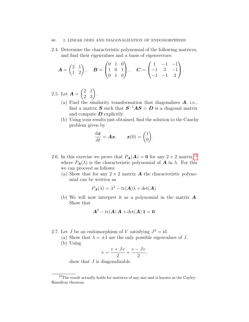### 60 2. LINEAR ODES AND DIAGONALIZATION OF ENDOMORPHISMS

2.4. Determine the characteristic polynomial of the following matrices, and find their eigenvalues and a basis of eigenvectors:

$$
\boldsymbol{A} = \begin{pmatrix} 2 & 1 \\ 1 & 2 \end{pmatrix}, \quad \boldsymbol{B} = \begin{pmatrix} 0 & 1 & 0 \\ 1 & 0 & 1 \\ 0 & 1 & 0 \end{pmatrix}, \quad \boldsymbol{C} = \begin{pmatrix} 1 & -1 & -1 \\ -1 & 3 & -1 \\ -1 & -1 & 3 \end{pmatrix}.
$$

2.5. Let  $\boldsymbol{A} =$  $\begin{pmatrix} 2 & 1 \\ 2 & 3 \end{pmatrix}$ .

- (a) Find the similarity transformation that diagonalizes  $A$ , i.e., find a matrix  $S$  such that  $S^{-1}AS = D$  is a diagonal matrix and compute  $\boldsymbol{D}$  explicitly.
- (b) Using your results just obtained, find the solution to the Cauchy problem given by

$$
\frac{\mathrm{d}\boldsymbol{x}}{\mathrm{d}t} = \boldsymbol{A}\boldsymbol{x}, \qquad \boldsymbol{x}(0) = \begin{pmatrix} 1 \\ 0 \end{pmatrix}.
$$

- 2.6. In this exercise we prove that  $P_{\mathbf{A}}(\mathbf{A}) = \mathbf{0}$  for any  $2 \times 2$  matrix, <sup>[12](#page-59-0)</sup> where  $P_{\bf{A}}(\lambda)$  is the characteristic polynomial of **A** in  $\lambda$ . For this we can proceed as follows:
	- (a) Show that for any  $2 \times 2$  matrix **A** the characteristic polynomial can be written as

$$
P_{\mathbf{A}}(\lambda) = \lambda^2 - \text{tr}(\mathbf{A})\lambda + \det(\mathbf{A}).
$$

(b) We will now interpret it as a polynomial in the matrix  $\boldsymbol{A}$ . Show that

$$
\boldsymbol{A}^2 - \text{tr}(\boldsymbol{A})\,\boldsymbol{A} + \text{det}(\boldsymbol{A})\,\boldsymbol{1} = \boldsymbol{0}.
$$

- 2.7. Let J be an endomorphism of V satisfying  $J^2 = id$ .
	- (a) Show that  $\lambda = \pm 1$  are the only possible eigenvalues of J.
	- (b) Using

$$
v = \frac{v + Jv}{2} + \frac{v - Jv}{2},
$$

show that  $J$  is diagonalizable.

<span id="page-59-0"></span> $12$ The result actually holds for matrices of any size and is known as the Cayley– Hamilton theorem.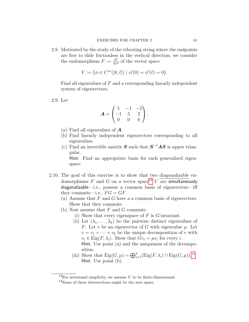2.8. Motivated by the study of the vibrating string where the endpoints are free to slide frictionless in the vertical direction, we consider the endomorphism  $F := \frac{d^2}{dx^2}$  of the vector space

$$
V := \{ \phi \in C^{\infty}([0,\ell]) \mid \phi'(0) = \phi'(\ell) = 0 \}.
$$

Find all eigenvalues of F and a corresponding linearly independent system of eigenvectors.

2.9. Let

$$
\mathbf{A} = \begin{pmatrix} 5 & -1 & -2 \\ -1 & 5 & 2 \\ 0 & 0 & 6 \end{pmatrix}.
$$

- (a) Find all eigenvalues of A.
- (b) Find linearly independent eigenvectors corresponding to all eigenvalues.
- (c) Find an invertible matrix **S** such that  $S^{-1}AS$  is upper triangular.

Hint: Find an appropriate basis for each generalized eigenspace.

- <span id="page-60-0"></span>2.10. The goal of this exercise is to show that two diagonalizable endomorphisms  $F$  and  $G$  on a vector space<sup>[13](#page-60-1)</sup>  $V$  are simultaneously diagonalizable—i.e., possess a common basis of eigenvectors—iff they commute—i.e.,  $FG = GF$ .
	- (a) Assume that  $F$  and  $G$  have a a common basis of eigenvectors. Show that they commute.
	- (b) Now assume that  $F$  and  $G$  commute.
		- (i) Show that every eigenspace of  $F$  is  $G$ -invariant.
		- (ii) Let  $(\lambda_1, \ldots, \lambda_k)$  be the pairwise distinct eigenvalues of F. Let v be an eigenvector of G with eigenvalue  $\mu$ . Let  $v = v_1 + \cdots + v_k$  be the unique decomposition of v with  $v_i \in \text{Eig}(F, \lambda_i)$ . Show that  $Gv_i = \mu v_i$  for every *i*. Hint: Use point (a) and the uniqueness of the decomposition.
		- (iii) Show that  $\text{Eig}(G,\mu) = \bigoplus_{i=1}^k (\text{Eig}(F,\lambda_i) \cap \text{Eig}(G,\mu))$ .<sup>[14](#page-60-2)</sup> Hint: Use point (b).

<span id="page-60-1"></span><sup>&</sup>lt;sup>13</sup>For notational simplicity, we assume  $V$  to be finite-dimensional.

<span id="page-60-2"></span><sup>14</sup>Some of these intersections might be the zero space.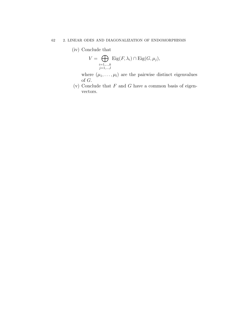### 62 2. LINEAR ODES AND DIAGONALIZATION OF ENDOMORPHISMS

(iv) Conclude that

$$
V = \bigoplus_{\substack{i=1,\ldots,k \\ j=1,\ldots,l}} \text{Eig}(F,\lambda_i) \cap \text{Eig}(G,\mu_j),
$$

where  $(\mu_1, \ldots, \mu_l)$  are the pairwise distinct eigenvalues of G.

(v) Conclude that  $F$  and  $G$  have a common basis of eigenvectors.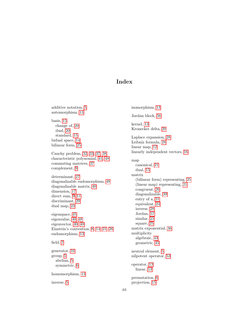### Index

<span id="page-62-0"></span>additive notation, [5](#page-4-2) automorphism, [13](#page-12-1) basis, [15](#page-14-3) change of, [20](#page-19-1) dual, [20](#page-19-1) standard, [15](#page-14-3) bidual space, [14](#page-13-4) bilinear form, [25](#page-24-5) Cauchy problem, [32,](#page-31-3) [33,](#page-32-6) [37,](#page-36-4) [38](#page-37-1) characteristic polynomial, [41,](#page-40-2) [48](#page-47-2) commuting matrices, [37](#page-36-4) complement, [9](#page-8-2) determinant, [27](#page-26-6) diagonalizable endomorphism, [48](#page-47-2) diagonalizable matrix, [40](#page-39-3) dimension, [17](#page-16-0) direct sum, [9–](#page-8-2)[11](#page-10-2) discriminant, [29](#page-28-3) dual map, [23](#page-22-4) eigenspace, [45](#page-44-3) eigenvalue, [40,](#page-39-3) [48](#page-47-2) eigenvector, [40,](#page-39-3) [48](#page-47-2) Einstein's convention, [8,](#page-7-1) [14,](#page-13-4) [21,](#page-20-3) [26](#page-25-3) endomorphism, [13](#page-12-1) field, [7](#page-6-3) generator, [16](#page-15-0) group, [5](#page-4-2) abelian, [5](#page-4-2) symmetric, [6](#page-5-3) homomorphism, [13](#page-12-1) inverse, [5](#page-4-2)

isomorphism, [13](#page-12-1) Jordan block, [56](#page-55-3) kernel, [13](#page-12-1) Kronecker delta, [20](#page-19-1) Laplace expansion, [28](#page-27-3) Leibniz formula, [28](#page-27-3) linear map, [12](#page-11-4) linearly independent vectors, [16](#page-15-0) map canonical, [21](#page-20-3) dual, [15](#page-14-3) matrix (bilinear form) representing, [25](#page-24-5) (linear map) representing, [21](#page-20-3) congruent, [26](#page-25-3) diagonalizable, [39](#page-38-2) entry of a, [21](#page-20-3) equivalent, [24](#page-23-2) inverse, [28](#page-27-3) Jordan, [57](#page-56-1) similar, [25](#page-24-5) square, [25](#page-24-5) matrix exponential, [36](#page-35-3) multiplicity algebraic, [43](#page-42-1) geometric, [45](#page-44-3) neutral element, [5](#page-4-2) nilpotent operator, [53](#page-52-1) operator, [13](#page-12-1) linear, [13](#page-12-1) permutation, [6](#page-5-3) projection, [15](#page-14-3)